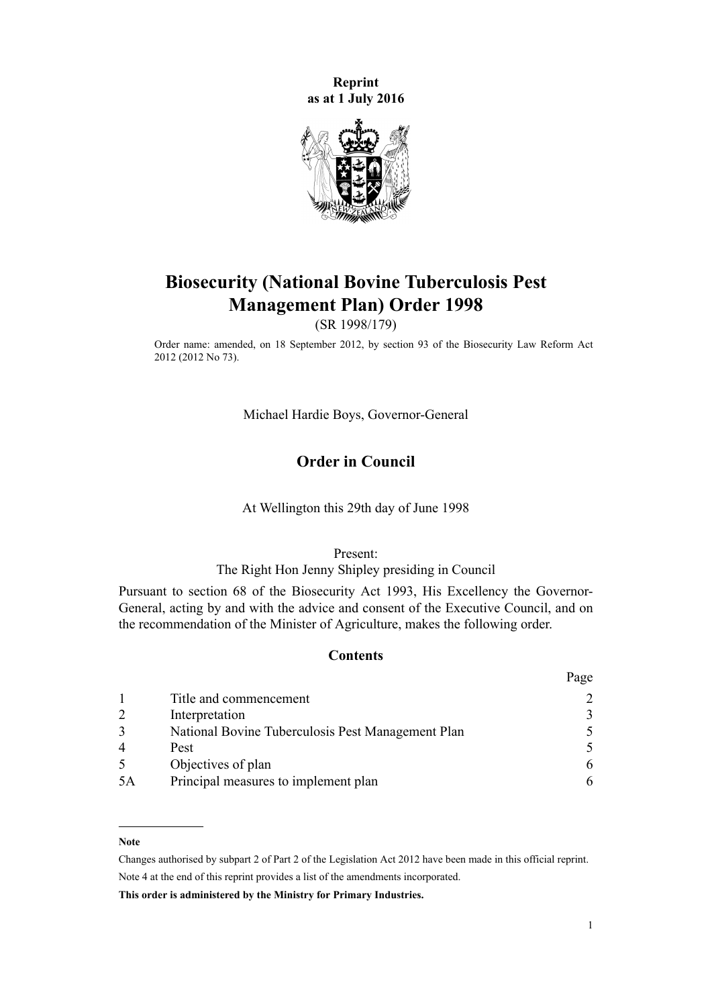**Reprint as at 1 July 2016**



# **Biosecurity (National Bovine Tuberculosis Pest Management Plan) Order 1998**

(SR 1998/179)

Order name: amended, on 18 September 2012, by [section 93](http://prd-lgnz-nlb.prd.pco.net.nz/pdflink.aspx?id=DLM3388552) of the Biosecurity Law Reform Act 2012 (2012 No 73).

Michael Hardie Boys, Governor-General

### **Order in Council**

At Wellington this 29th day of June 1998

Present:

### The Right Hon Jenny Shipley presiding in Council

Pursuant to [section 68](http://prd-lgnz-nlb.prd.pco.net.nz/pdflink.aspx?id=DLM315704) of the Biosecurity Act 1993, His Excellency the Governor-General, acting by and with the advice and consent of the Executive Council, and on the recommendation of the Minister of Agriculture, makes the following order.

### **Contents**

|    |                                                   | Page                        |
|----|---------------------------------------------------|-----------------------------|
|    | Title and commencement                            |                             |
|    | Interpretation                                    | 3                           |
|    | National Bovine Tuberculosis Pest Management Plan | $\mathcal{F}_{\mathcal{F}}$ |
|    | Pest                                              | $\overline{\mathcal{L}}$    |
|    | Objectives of plan                                | 6                           |
| 5A | Principal measures to implement plan              | 6                           |

#### **Note**

Changes authorised by [subpart 2](http://prd-lgnz-nlb.prd.pco.net.nz/pdflink.aspx?id=DLM2998524) of Part 2 of the Legislation Act 2012 have been made in this official reprint. Note 4 at the end of this reprint provides a list of the amendments incorporated.

**This order is administered by the Ministry for Primary Industries.**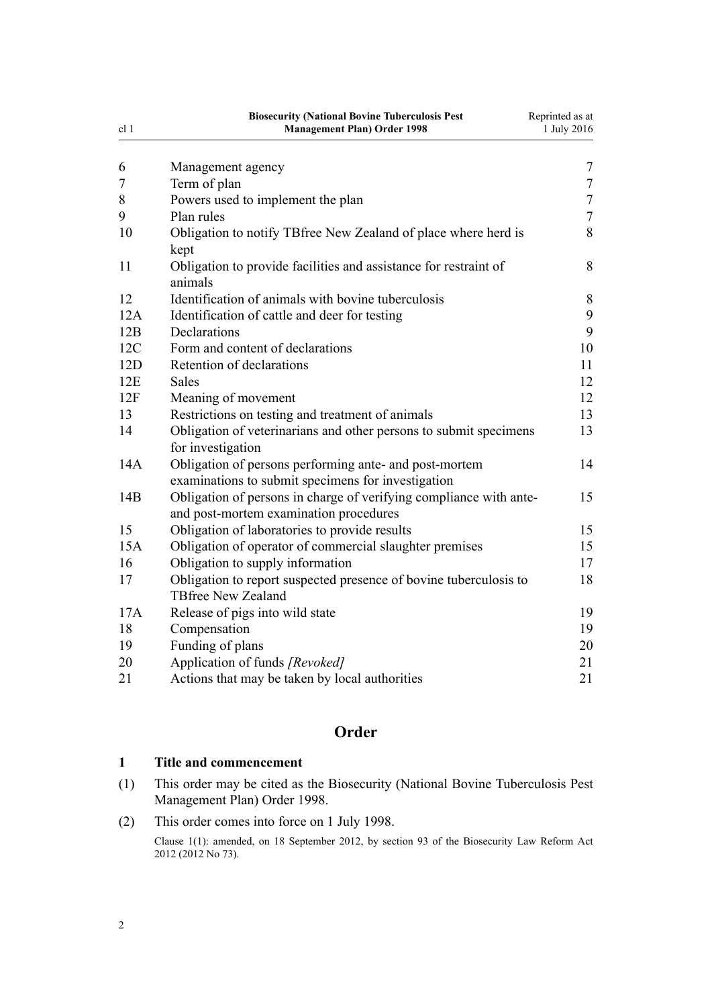<span id="page-1-0"></span>

| cl 1 | <b>Biosecurity (National Bovine Tuberculosis Pest</b><br><b>Management Plan) Order 1998</b>                  | Reprinted as at<br>1 July 2016 |
|------|--------------------------------------------------------------------------------------------------------------|--------------------------------|
| 6    | Management agency                                                                                            | $\overline{7}$                 |
| 7    | Term of plan                                                                                                 | $\overline{7}$                 |
| 8    | Powers used to implement the plan                                                                            | $\overline{7}$                 |
| 9    | Plan rules                                                                                                   | $\overline{7}$                 |
| 10   | Obligation to notify TBfree New Zealand of place where herd is<br>kept                                       | 8                              |
| 11   | Obligation to provide facilities and assistance for restraint of<br>animals                                  | 8                              |
| 12   | Identification of animals with bovine tuberculosis                                                           | 8                              |
| 12A  | Identification of cattle and deer for testing                                                                | 9                              |
| 12B  | Declarations                                                                                                 | 9                              |
| 12C  | Form and content of declarations                                                                             | 10                             |
| 12D  | Retention of declarations                                                                                    | 11                             |
| 12E  | <b>Sales</b>                                                                                                 | 12                             |
| 12F  | Meaning of movement                                                                                          | 12                             |
| 13   | Restrictions on testing and treatment of animals                                                             | 13                             |
| 14   | Obligation of veterinarians and other persons to submit specimens<br>for investigation                       | 13                             |
| 14A  | Obligation of persons performing ante- and post-mortem<br>examinations to submit specimens for investigation | 14                             |
| 14B  | Obligation of persons in charge of verifying compliance with ante-<br>and post-mortem examination procedures | 15                             |
| 15   | Obligation of laboratories to provide results                                                                | 15                             |
| 15A  | Obligation of operator of commercial slaughter premises                                                      | 15                             |
| 16   | Obligation to supply information                                                                             | 17                             |
| 17   | Obligation to report suspected presence of bovine tuberculosis to<br><b>TBfree New Zealand</b>               | 18                             |
| 17A  | Release of pigs into wild state                                                                              | 19                             |
| 18   | Compensation                                                                                                 | 19                             |
| 19   | Funding of plans                                                                                             | 20                             |
| 20   | Application of funds [Revoked]                                                                               | 21                             |
| 21   | Actions that may be taken by local authorities                                                               | 21                             |

## **Order**

### **1 Title and commencement**

- (1) This order may be cited as the Biosecurity (National Bovine Tuberculosis Pest Management Plan) Order 1998.
- (2) This order comes into force on 1 July 1998.

Clause 1(1): amended, on 18 September 2012, by [section 93](http://prd-lgnz-nlb.prd.pco.net.nz/pdflink.aspx?id=DLM3388552) of the Biosecurity Law Reform Act 2012 (2012 No 73).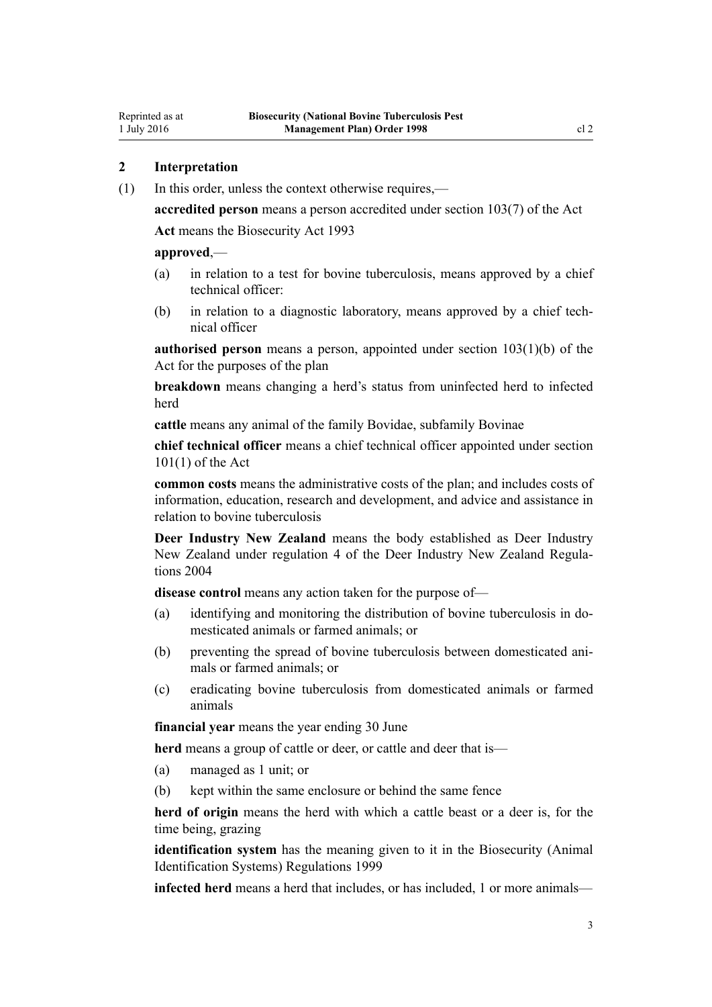### <span id="page-2-0"></span>**2 Interpretation**

(1) In this order, unless the context otherwise requires,—

**accredited person** means a person accredited under [section 103\(7\)](http://prd-lgnz-nlb.prd.pco.net.nz/pdflink.aspx?id=DLM316059) of the Act

**Act** means the [Biosecurity Act 1993](http://prd-lgnz-nlb.prd.pco.net.nz/pdflink.aspx?id=DLM314622)

### **approved**,—

- (a) in relation to a test for bovine tuberculosis, means approved by a chief technical officer:
- (b) in relation to a diagnostic laboratory, means approved by a chief technical officer

**authorised person** means a person, appointed under [section 103\(1\)\(b\)](http://prd-lgnz-nlb.prd.pco.net.nz/pdflink.aspx?id=DLM316059) of the Act for the purposes of the plan

**breakdown** means changing a herd's status from uninfected herd to infected herd

**cattle** means any animal of the family Bovidae, subfamily Bovinae

**chief technical officer** means a chief technical officer appointed under [section](http://prd-lgnz-nlb.prd.pco.net.nz/pdflink.aspx?id=DLM316050) [101\(1\)](http://prd-lgnz-nlb.prd.pco.net.nz/pdflink.aspx?id=DLM316050) of the Act

**common costs** means the administrative costs of the plan; and includes costs of information, education, research and development, and advice and assistance in relation to bovine tuberculosis

**Deer Industry New Zealand** means the body established as Deer Industry New Zealand under regulation 4 of the Deer Industry New Zealand Regulations 2004

**disease control** means any action taken for the purpose of—

- (a) identifying and monitoring the distribution of bovine tuberculosis in domesticated animals or farmed animals; or
- (b) preventing the spread of bovine tuberculosis between domesticated animals or farmed animals; or
- (c) eradicating bovine tuberculosis from domesticated animals or farmed animals

**financial year** means the year ending 30 June

**herd** means a group of cattle or deer, or cattle and deer that is—

- (a) managed as 1 unit; or
- (b) kept within the same enclosure or behind the same fence

**herd of origin** means the herd with which a cattle beast or a deer is, for the time being, grazing

**identification system** has the meaning given to it in the [Biosecurity \(Animal](http://prd-lgnz-nlb.prd.pco.net.nz/pdflink.aspx?id=DLM284288) [Identification Systems\) Regulations 1999](http://prd-lgnz-nlb.prd.pco.net.nz/pdflink.aspx?id=DLM284288)

**infected herd** means a herd that includes, or has included, 1 or more animals—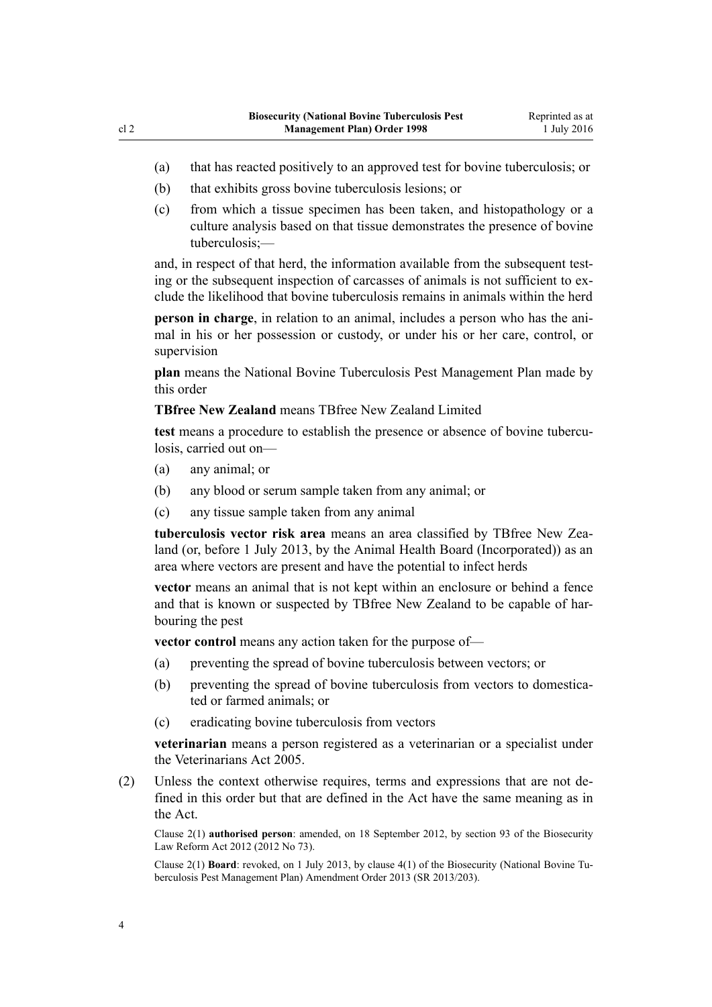- (a) that has reacted positively to an approved test for bovine tuberculosis; or
- (b) that exhibits gross bovine tuberculosis lesions; or
- (c) from which a tissue specimen has been taken, and histopathology or a culture analysis based on that tissue demonstrates the presence of bovine tuberculosis;—

and, in respect of that herd, the information available from the subsequent testing or the subsequent inspection of carcasses of animals is not sufficient to exclude the likelihood that bovine tuberculosis remains in animals within the herd

**person in charge**, in relation to an animal, includes a person who has the animal in his or her possession or custody, or under his or her care, control, or supervision

**plan** means the National Bovine Tuberculosis Pest Management Plan made by this order

### **TBfree New Zealand** means TBfree New Zealand Limited

**test** means a procedure to establish the presence or absence of bovine tuberculosis, carried out on—

- (a) any animal; or
- (b) any blood or serum sample taken from any animal; or
- (c) any tissue sample taken from any animal

**tuberculosis vector risk area** means an area classified by TBfree New Zealand (or, before 1 July 2013, by the Animal Health Board (Incorporated)) as an area where vectors are present and have the potential to infect herds

**vector** means an animal that is not kept within an enclosure or behind a fence and that is known or suspected by TBfree New Zealand to be capable of harbouring the pest

**vector control** means any action taken for the purpose of—

- (a) preventing the spread of bovine tuberculosis between vectors; or
- (b) preventing the spread of bovine tuberculosis from vectors to domesticated or farmed animals; or
- (c) eradicating bovine tuberculosis from vectors

**veterinarian** means a person registered as a veterinarian or a specialist under the [Veterinarians Act 2005](http://prd-lgnz-nlb.prd.pco.net.nz/pdflink.aspx?id=DLM363858).

(2) Unless the context otherwise requires, terms and expressions that are not defined in this order but that are defined in the Act have the same meaning as in the Act.

Clause 2(1) **authorised person**: amended, on 18 September 2012, by [section 93](http://prd-lgnz-nlb.prd.pco.net.nz/pdflink.aspx?id=DLM3388552) of the Biosecurity Law Reform Act 2012 (2012 No 73).

Clause 2(1) **Board**: revoked, on 1 July 2013, by [clause 4\(1\)](http://prd-lgnz-nlb.prd.pco.net.nz/pdflink.aspx?id=DLM5201140) of the Biosecurity (National Bovine Tuberculosis Pest Management Plan) Amendment Order 2013 (SR 2013/203).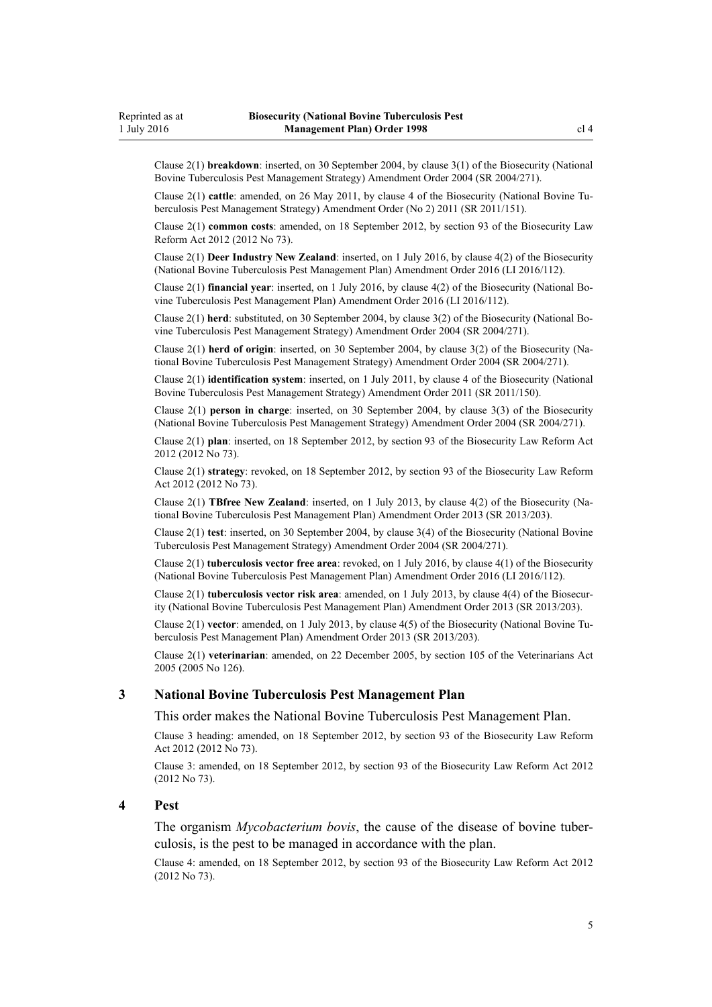<span id="page-4-0"></span>Clause 2(1) **breakdown**: inserted, on 30 September 2004, by [clause 3\(1\)](http://prd-lgnz-nlb.prd.pco.net.nz/pdflink.aspx?id=DLM283061) of the Biosecurity (National Bovine Tuberculosis Pest Management Strategy) Amendment Order 2004 (SR 2004/271).

Clause 2(1) **cattle**: amended, on 26 May 2011, by [clause 4](http://prd-lgnz-nlb.prd.pco.net.nz/pdflink.aspx?id=DLM3696907) of the Biosecurity (National Bovine Tuberculosis Pest Management Strategy) Amendment Order (No 2) 2011 (SR 2011/151).

Clause 2(1) **common costs**: amended, on 18 September 2012, by [section 93](http://prd-lgnz-nlb.prd.pco.net.nz/pdflink.aspx?id=DLM3388552) of the Biosecurity Law Reform Act 2012 (2012 No 73).

Clause 2(1) **Deer Industry New Zealand**: inserted, on 1 July 2016, by [clause 4\(2\)](http://prd-lgnz-nlb.prd.pco.net.nz/pdflink.aspx?id=DLM6839735) of the Biosecurity (National Bovine Tuberculosis Pest Management Plan) Amendment Order 2016 (LI 2016/112).

Clause 2(1) **financial year**: inserted, on 1 July 2016, by [clause 4\(2\)](http://prd-lgnz-nlb.prd.pco.net.nz/pdflink.aspx?id=DLM6839735) of the Biosecurity (National Bovine Tuberculosis Pest Management Plan) Amendment Order 2016 (LI 2016/112).

Clause 2(1) **herd**: substituted, on 30 September 2004, by [clause 3\(2\)](http://prd-lgnz-nlb.prd.pco.net.nz/pdflink.aspx?id=DLM283061) of the Biosecurity (National Bovine Tuberculosis Pest Management Strategy) Amendment Order 2004 (SR 2004/271).

Clause 2(1) **herd of origin**: inserted, on 30 September 2004, by [clause 3\(2\)](http://prd-lgnz-nlb.prd.pco.net.nz/pdflink.aspx?id=DLM283061) of the Biosecurity (National Bovine Tuberculosis Pest Management Strategy) Amendment Order 2004 (SR 2004/271).

Clause 2(1) **identification system**: inserted, on 1 July 2011, by [clause 4](http://prd-lgnz-nlb.prd.pco.net.nz/pdflink.aspx?id=DLM3765120) of the Biosecurity (National Bovine Tuberculosis Pest Management Strategy) Amendment Order 2011 (SR 2011/150).

Clause 2(1) **person in charge**: inserted, on 30 September 2004, by [clause 3\(3\)](http://prd-lgnz-nlb.prd.pco.net.nz/pdflink.aspx?id=DLM283061) of the Biosecurity (National Bovine Tuberculosis Pest Management Strategy) Amendment Order 2004 (SR 2004/271).

Clause 2(1) **plan**: inserted, on 18 September 2012, by [section 93](http://prd-lgnz-nlb.prd.pco.net.nz/pdflink.aspx?id=DLM3388552) of the Biosecurity Law Reform Act 2012 (2012 No 73).

Clause 2(1) **strategy**: revoked, on 18 September 2012, by [section 93](http://prd-lgnz-nlb.prd.pco.net.nz/pdflink.aspx?id=DLM3388552) of the Biosecurity Law Reform Act 2012 (2012 No 73).

Clause 2(1) **TBfree New Zealand**: inserted, on 1 July 2013, by [clause 4\(2\)](http://prd-lgnz-nlb.prd.pco.net.nz/pdflink.aspx?id=DLM5201140) of the Biosecurity (National Bovine Tuberculosis Pest Management Plan) Amendment Order 2013 (SR 2013/203).

Clause 2(1) **test**: inserted, on 30 September 2004, by [clause 3\(4\)](http://prd-lgnz-nlb.prd.pco.net.nz/pdflink.aspx?id=DLM283061) of the Biosecurity (National Bovine Tuberculosis Pest Management Strategy) Amendment Order 2004 (SR 2004/271).

Clause 2(1) **tuberculosis vector free area**: revoked, on 1 July 2016, by [clause 4\(1\)](http://prd-lgnz-nlb.prd.pco.net.nz/pdflink.aspx?id=DLM6839735) of the Biosecurity (National Bovine Tuberculosis Pest Management Plan) Amendment Order 2016 (LI 2016/112).

Clause 2(1) **tuberculosis vector risk area**: amended, on 1 July 2013, by [clause 4\(4\)](http://prd-lgnz-nlb.prd.pco.net.nz/pdflink.aspx?id=DLM5201140) of the Biosecurity (National Bovine Tuberculosis Pest Management Plan) Amendment Order 2013 (SR 2013/203).

Clause 2(1) **vector**: amended, on 1 July 2013, by [clause 4\(5\)](http://prd-lgnz-nlb.prd.pco.net.nz/pdflink.aspx?id=DLM5201140) of the Biosecurity (National Bovine Tuberculosis Pest Management Plan) Amendment Order 2013 (SR 2013/203).

Clause 2(1) **veterinarian**: amended, on 22 December 2005, by [section 105](http://prd-lgnz-nlb.prd.pco.net.nz/pdflink.aspx?id=DLM364675) of the Veterinarians Act 2005 (2005 No 126).

#### **3 National Bovine Tuberculosis Pest Management Plan**

This order makes the National Bovine Tuberculosis Pest Management Plan.

Clause 3 heading: amended, on 18 September 2012, by [section 93](http://prd-lgnz-nlb.prd.pco.net.nz/pdflink.aspx?id=DLM3388552) of the Biosecurity Law Reform Act 2012 (2012 No 73).

Clause 3: amended, on 18 September 2012, by [section 93](http://prd-lgnz-nlb.prd.pco.net.nz/pdflink.aspx?id=DLM3388552) of the Biosecurity Law Reform Act 2012 (2012 No 73).

### **4 Pest**

The organism *Mycobacterium bovis*, the cause of the disease of bovine tuberculosis, is the pest to be managed in accordance with the plan.

Clause 4: amended, on 18 September 2012, by [section 93](http://prd-lgnz-nlb.prd.pco.net.nz/pdflink.aspx?id=DLM3388552) of the Biosecurity Law Reform Act 2012 (2012 No 73).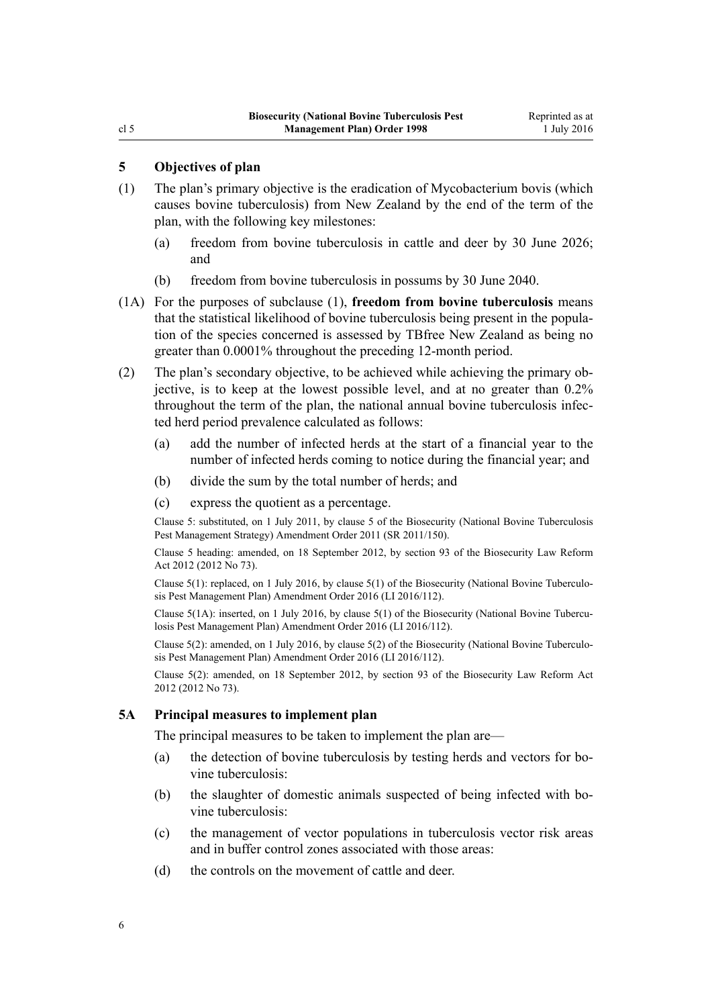### <span id="page-5-0"></span>**5 Objectives of plan**

- (1) The plan's primary objective is the eradication of Mycobacterium bovis (which causes bovine tuberculosis) from New Zealand by the end of the term of the plan, with the following key milestones:
	- (a) freedom from bovine tuberculosis in cattle and deer by 30 June 2026; and
	- (b) freedom from bovine tuberculosis in possums by 30 June 2040.
- (1A) For the purposes of subclause (1), **freedom from bovine tuberculosis** means that the statistical likelihood of bovine tuberculosis being present in the population of the species concerned is assessed by TBfree New Zealand as being no greater than 0.0001% throughout the preceding 12-month period.
- (2) The plan's secondary objective, to be achieved while achieving the primary objective, is to keep at the lowest possible level, and at no greater than 0.2% throughout the term of the plan, the national annual bovine tuberculosis infected herd period prevalence calculated as follows:
	- (a) add the number of infected herds at the start of a financial year to the number of infected herds coming to notice during the financial year; and
	- (b) divide the sum by the total number of herds; and
	- (c) express the quotient as a percentage.

Clause 5: substituted, on 1 July 2011, by [clause 5](http://prd-lgnz-nlb.prd.pco.net.nz/pdflink.aspx?id=DLM3765124) of the Biosecurity (National Bovine Tuberculosis Pest Management Strategy) Amendment Order 2011 (SR 2011/150).

Clause 5 heading: amended, on 18 September 2012, by [section 93](http://prd-lgnz-nlb.prd.pco.net.nz/pdflink.aspx?id=DLM3388552) of the Biosecurity Law Reform Act 2012 (2012 No 73).

Clause 5(1): replaced, on 1 July 2016, by [clause 5\(1\)](http://prd-lgnz-nlb.prd.pco.net.nz/pdflink.aspx?id=DLM6839741) of the Biosecurity (National Bovine Tuberculosis Pest Management Plan) Amendment Order 2016 (LI 2016/112).

Clause 5(1A): inserted, on 1 July 2016, by [clause 5\(1\)](http://prd-lgnz-nlb.prd.pco.net.nz/pdflink.aspx?id=DLM6839741) of the Biosecurity (National Bovine Tuberculosis Pest Management Plan) Amendment Order 2016 (LI 2016/112).

Clause 5(2): amended, on 1 July 2016, by [clause 5\(2\)](http://prd-lgnz-nlb.prd.pco.net.nz/pdflink.aspx?id=DLM6839741) of the Biosecurity (National Bovine Tuberculosis Pest Management Plan) Amendment Order 2016 (LI 2016/112).

Clause 5(2): amended, on 18 September 2012, by [section 93](http://prd-lgnz-nlb.prd.pco.net.nz/pdflink.aspx?id=DLM3388552) of the Biosecurity Law Reform Act 2012 (2012 No 73).

#### **5A Principal measures to implement plan**

The principal measures to be taken to implement the plan are—

- (a) the detection of bovine tuberculosis by testing herds and vectors for bovine tuberculosis:
- (b) the slaughter of domestic animals suspected of being infected with bovine tuberculosis:
- (c) the management of vector populations in tuberculosis vector risk areas and in buffer control zones associated with those areas:
- (d) the controls on the movement of cattle and deer.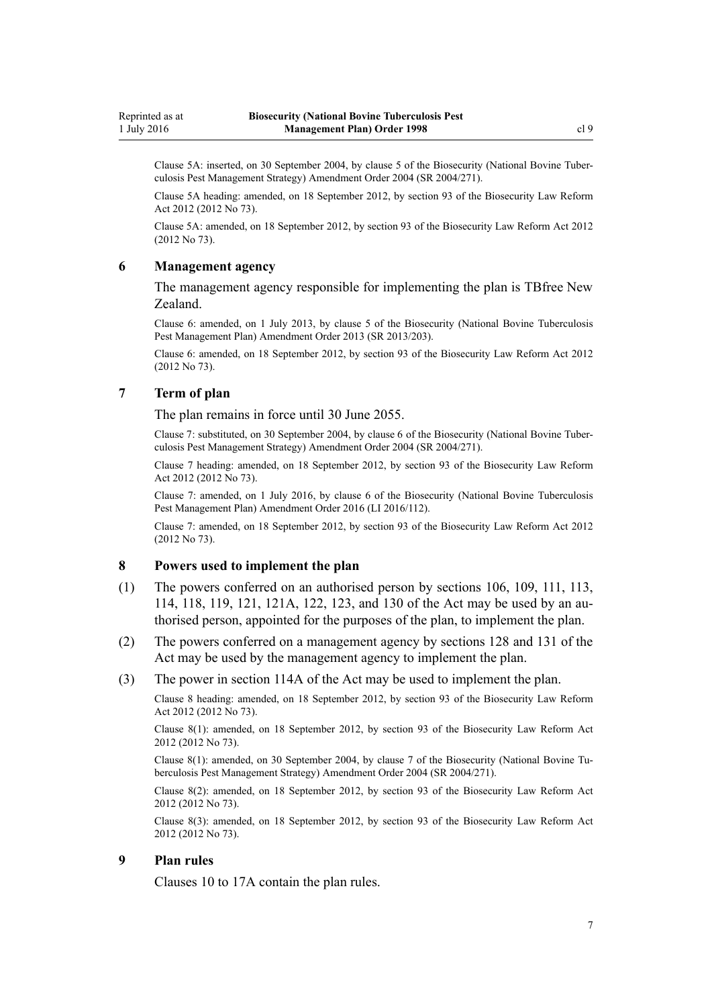<span id="page-6-0"></span>Clause 5A: inserted, on 30 September 2004, by [clause 5](http://prd-lgnz-nlb.prd.pco.net.nz/pdflink.aspx?id=DLM283074) of the Biosecurity (National Bovine Tuberculosis Pest Management Strategy) Amendment Order 2004 (SR 2004/271).

Clause 5A heading: amended, on 18 September 2012, by [section 93](http://prd-lgnz-nlb.prd.pco.net.nz/pdflink.aspx?id=DLM3388552) of the Biosecurity Law Reform Act 2012 (2012 No 73).

Clause 5A: amended, on 18 September 2012, by [section 93](http://prd-lgnz-nlb.prd.pco.net.nz/pdflink.aspx?id=DLM3388552) of the Biosecurity Law Reform Act 2012 (2012 No 73).

### **6 Management agency**

The management agency responsible for implementing the plan is TBfree New Zealand.

Clause 6: amended, on 1 July 2013, by [clause 5](http://prd-lgnz-nlb.prd.pco.net.nz/pdflink.aspx?id=DLM5201147) of the Biosecurity (National Bovine Tuberculosis Pest Management Plan) Amendment Order 2013 (SR 2013/203).

Clause 6: amended, on 18 September 2012, by [section 93](http://prd-lgnz-nlb.prd.pco.net.nz/pdflink.aspx?id=DLM3388552) of the Biosecurity Law Reform Act 2012 (2012 No 73).

### **7 Term of plan**

The plan remains in force until 30 June 2055.

Clause 7: substituted, on 30 September 2004, by [clause 6](http://prd-lgnz-nlb.prd.pco.net.nz/pdflink.aspx?id=DLM283076) of the Biosecurity (National Bovine Tuberculosis Pest Management Strategy) Amendment Order 2004 (SR 2004/271).

Clause 7 heading: amended, on 18 September 2012, by [section 93](http://prd-lgnz-nlb.prd.pco.net.nz/pdflink.aspx?id=DLM3388552) of the Biosecurity Law Reform Act 2012 (2012 No 73).

Clause 7: amended, on 1 July 2016, by [clause 6](http://prd-lgnz-nlb.prd.pco.net.nz/pdflink.aspx?id=DLM6839743) of the Biosecurity (National Bovine Tuberculosis Pest Management Plan) Amendment Order 2016 (LI 2016/112).

Clause 7: amended, on 18 September 2012, by [section 93](http://prd-lgnz-nlb.prd.pco.net.nz/pdflink.aspx?id=DLM3388552) of the Biosecurity Law Reform Act 2012 (2012 No 73).

#### **8 Powers used to implement the plan**

- (1) The powers conferred on an authorised person by [sections 106](http://prd-lgnz-nlb.prd.pco.net.nz/pdflink.aspx?id=DLM316077), [109](http://prd-lgnz-nlb.prd.pco.net.nz/pdflink.aspx?id=DLM316083), [111,](http://prd-lgnz-nlb.prd.pco.net.nz/pdflink.aspx?id=DLM316300) [113](http://prd-lgnz-nlb.prd.pco.net.nz/pdflink.aspx?id=DLM316306), [114](http://prd-lgnz-nlb.prd.pco.net.nz/pdflink.aspx?id=DLM316307), [118](http://prd-lgnz-nlb.prd.pco.net.nz/pdflink.aspx?id=DLM316318), [119](http://prd-lgnz-nlb.prd.pco.net.nz/pdflink.aspx?id=DLM316319), [121](http://prd-lgnz-nlb.prd.pco.net.nz/pdflink.aspx?id=DLM316321), [121A](http://prd-lgnz-nlb.prd.pco.net.nz/pdflink.aspx?id=DLM316325), [122,](http://prd-lgnz-nlb.prd.pco.net.nz/pdflink.aspx?id=DLM316331) [123](http://prd-lgnz-nlb.prd.pco.net.nz/pdflink.aspx?id=DLM316333), and [130](http://prd-lgnz-nlb.prd.pco.net.nz/pdflink.aspx?id=DLM316351) of the Act may be used by an authorised person, appointed for the purposes of the plan, to implement the plan.
- (2) The powers conferred on a management agency by [sections 128](http://prd-lgnz-nlb.prd.pco.net.nz/pdflink.aspx?id=DLM316345) and [131](http://prd-lgnz-nlb.prd.pco.net.nz/pdflink.aspx?id=DLM316356) of the Act may be used by the management agency to implement the plan.
- (3) The power in [section 114A](http://prd-lgnz-nlb.prd.pco.net.nz/pdflink.aspx?id=DLM316309) of the Act may be used to implement the plan.

Clause 8 heading: amended, on 18 September 2012, by [section 93](http://prd-lgnz-nlb.prd.pco.net.nz/pdflink.aspx?id=DLM3388552) of the Biosecurity Law Reform Act 2012 (2012 No 73).

Clause 8(1): amended, on 18 September 2012, by [section 93](http://prd-lgnz-nlb.prd.pco.net.nz/pdflink.aspx?id=DLM3388552) of the Biosecurity Law Reform Act 2012 (2012 No 73).

Clause 8(1): amended, on 30 September 2004, by [clause 7](http://prd-lgnz-nlb.prd.pco.net.nz/pdflink.aspx?id=DLM283078) of the Biosecurity (National Bovine Tuberculosis Pest Management Strategy) Amendment Order 2004 (SR 2004/271).

Clause 8(2): amended, on 18 September 2012, by [section 93](http://prd-lgnz-nlb.prd.pco.net.nz/pdflink.aspx?id=DLM3388552) of the Biosecurity Law Reform Act 2012 (2012 No 73).

Clause 8(3): amended, on 18 September 2012, by [section 93](http://prd-lgnz-nlb.prd.pco.net.nz/pdflink.aspx?id=DLM3388552) of the Biosecurity Law Reform Act 2012 (2012 No 73).

### **9 Plan rules**

[Clauses 10 to 17A](#page-7-0) contain the plan rules.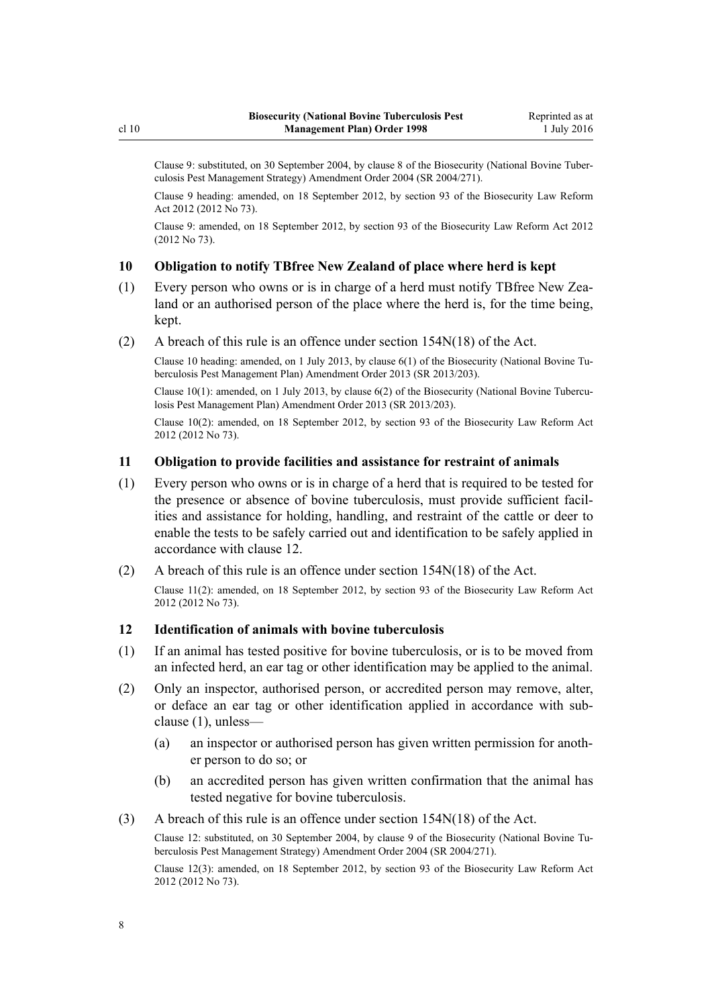<span id="page-7-0"></span>Clause 9: substituted, on 30 September 2004, by [clause 8](http://prd-lgnz-nlb.prd.pco.net.nz/pdflink.aspx?id=DLM283079) of the Biosecurity (National Bovine Tuberculosis Pest Management Strategy) Amendment Order 2004 (SR 2004/271).

Clause 9 heading: amended, on 18 September 2012, by [section 93](http://prd-lgnz-nlb.prd.pco.net.nz/pdflink.aspx?id=DLM3388552) of the Biosecurity Law Reform Act 2012 (2012 No 73).

Clause 9: amended, on 18 September 2012, by [section 93](http://prd-lgnz-nlb.prd.pco.net.nz/pdflink.aspx?id=DLM3388552) of the Biosecurity Law Reform Act 2012 (2012 No 73).

### **10 Obligation to notify TBfree New Zealand of place where herd is kept**

- (1) Every person who owns or is in charge of a herd must notify TBfree New Zealand or an authorised person of the place where the herd is, for the time being, kept.
- (2) A breach of this rule is an offence under [section 154N\(18\)](http://prd-lgnz-nlb.prd.pco.net.nz/pdflink.aspx?id=DLM4759461) of the Act.

Clause 10 heading: amended, on 1 July 2013, by [clause 6\(1\)](http://prd-lgnz-nlb.prd.pco.net.nz/pdflink.aspx?id=DLM5201148) of the Biosecurity (National Bovine Tuberculosis Pest Management Plan) Amendment Order 2013 (SR 2013/203).

Clause 10(1): amended, on 1 July 2013, by [clause 6\(2\)](http://prd-lgnz-nlb.prd.pco.net.nz/pdflink.aspx?id=DLM5201148) of the Biosecurity (National Bovine Tuberculosis Pest Management Plan) Amendment Order 2013 (SR 2013/203).

Clause 10(2): amended, on 18 September 2012, by [section 93](http://prd-lgnz-nlb.prd.pco.net.nz/pdflink.aspx?id=DLM3388552) of the Biosecurity Law Reform Act 2012 (2012 No 73).

### **11 Obligation to provide facilities and assistance for restraint of animals**

- (1) Every person who owns or is in charge of a herd that is required to be tested for the presence or absence of bovine tuberculosis, must provide sufficient facilities and assistance for holding, handling, and restraint of the cattle or deer to enable the tests to be safely carried out and identification to be safely applied in accordance with clause 12.
- (2) A breach of this rule is an offence under [section 154N\(18\)](http://prd-lgnz-nlb.prd.pco.net.nz/pdflink.aspx?id=DLM4759461) of the Act.

Clause 11(2): amended, on 18 September 2012, by [section 93](http://prd-lgnz-nlb.prd.pco.net.nz/pdflink.aspx?id=DLM3388552) of the Biosecurity Law Reform Act 2012 (2012 No 73).

### **12 Identification of animals with bovine tuberculosis**

- (1) If an animal has tested positive for bovine tuberculosis, or is to be moved from an infected herd, an ear tag or other identification may be applied to the animal.
- (2) Only an inspector, authorised person, or accredited person may remove, alter, or deface an ear tag or other identification applied in accordance with subclause (1), unless—
	- (a) an inspector or authorised person has given written permission for another person to do so; or
	- (b) an accredited person has given written confirmation that the animal has tested negative for bovine tuberculosis.
- (3) A breach of this rule is an offence under [section 154N\(18\)](http://prd-lgnz-nlb.prd.pco.net.nz/pdflink.aspx?id=DLM4759461) of the Act.

Clause 12: substituted, on 30 September 2004, by [clause 9](http://prd-lgnz-nlb.prd.pco.net.nz/pdflink.aspx?id=DLM283081) of the Biosecurity (National Bovine Tuberculosis Pest Management Strategy) Amendment Order 2004 (SR 2004/271).

Clause 12(3): amended, on 18 September 2012, by [section 93](http://prd-lgnz-nlb.prd.pco.net.nz/pdflink.aspx?id=DLM3388552) of the Biosecurity Law Reform Act 2012 (2012 No 73).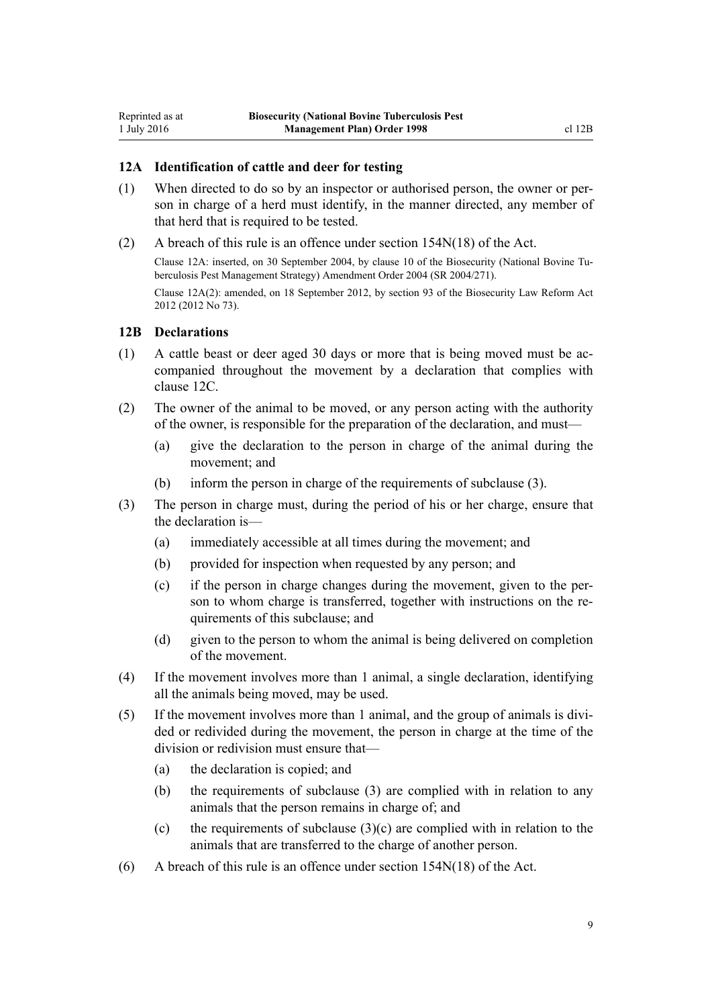### **12A Identification of cattle and deer for testing**

- (1) When directed to do so by an inspector or authorised person, the owner or person in charge of a herd must identify, in the manner directed, any member of that herd that is required to be tested.
- (2) A breach of this rule is an offence under [section 154N\(18\)](http://prd-lgnz-nlb.prd.pco.net.nz/pdflink.aspx?id=DLM4759461) of the Act. Clause 12A: inserted, on 30 September 2004, by [clause 10](http://prd-lgnz-nlb.prd.pco.net.nz/pdflink.aspx?id=DLM283083) of the Biosecurity (National Bovine Tuberculosis Pest Management Strategy) Amendment Order 2004 (SR 2004/271). Clause 12A(2): amended, on 18 September 2012, by [section 93](http://prd-lgnz-nlb.prd.pco.net.nz/pdflink.aspx?id=DLM3388552) of the Biosecurity Law Reform Act 2012 (2012 No 73).

### **12B Declarations**

<span id="page-8-0"></span>Reprinted as at 1 July 2016

- (1) A cattle beast or deer aged 30 days or more that is being moved must be accompanied throughout the movement by a declaration that complies with [clause 12C.](#page-9-0)
- (2) The owner of the animal to be moved, or any person acting with the authority of the owner, is responsible for the preparation of the declaration, and must—
	- (a) give the declaration to the person in charge of the animal during the movement; and
	- (b) inform the person in charge of the requirements of subclause (3).
- (3) The person in charge must, during the period of his or her charge, ensure that the declaration is—
	- (a) immediately accessible at all times during the movement; and
	- (b) provided for inspection when requested by any person; and
	- (c) if the person in charge changes during the movement, given to the person to whom charge is transferred, together with instructions on the requirements of this subclause; and
	- (d) given to the person to whom the animal is being delivered on completion of the movement.
- (4) If the movement involves more than 1 animal, a single declaration, identifying all the animals being moved, may be used.
- (5) If the movement involves more than 1 animal, and the group of animals is divided or redivided during the movement, the person in charge at the time of the division or redivision must ensure that—
	- (a) the declaration is copied; and
	- (b) the requirements of subclause (3) are complied with in relation to any animals that the person remains in charge of; and
	- (c) the requirements of subclause  $(3)(c)$  are complied with in relation to the animals that are transferred to the charge of another person.
- (6) A breach of this rule is an offence under [section 154N\(18\)](http://prd-lgnz-nlb.prd.pco.net.nz/pdflink.aspx?id=DLM4759461) of the Act.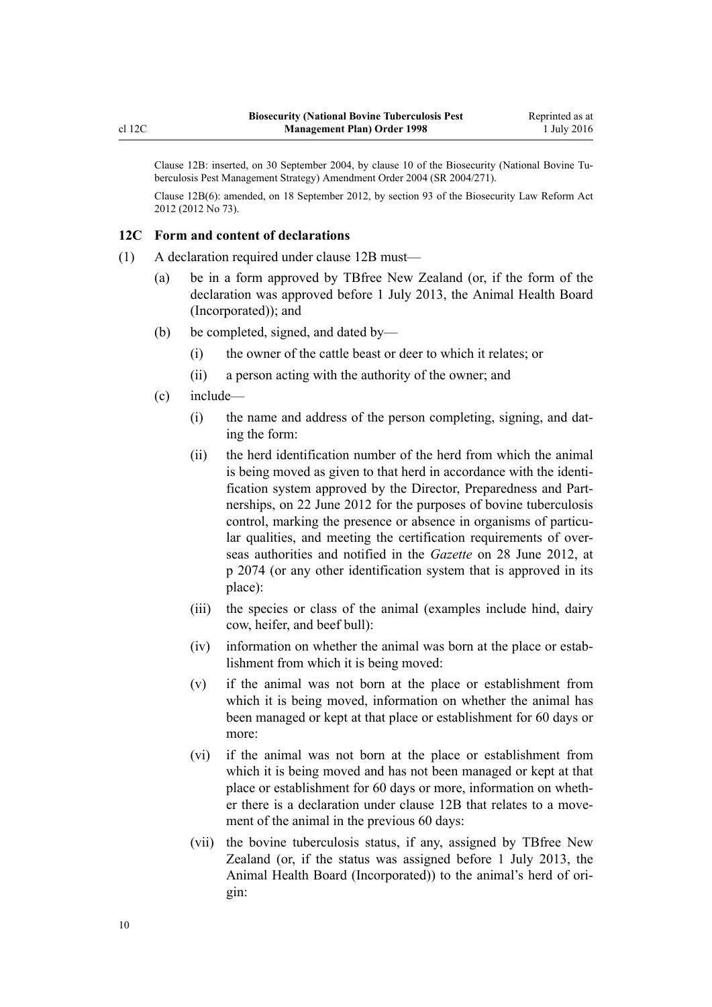<span id="page-9-0"></span>Clause 12B: inserted, on 30 September 2004, by [clause 10](http://prd-lgnz-nlb.prd.pco.net.nz/pdflink.aspx?id=DLM283083) of the Biosecurity (National Bovine Tuberculosis Pest Management Strategy) Amendment Order 2004 (SR 2004/271).

Clause 12B(6): amended, on 18 September 2012, by [section 93](http://prd-lgnz-nlb.prd.pco.net.nz/pdflink.aspx?id=DLM3388552) of the Biosecurity Law Reform Act 2012 (2012 No 73).

### **12C Form and content of declarations**

- (1) A declaration required under [clause 12B](#page-8-0) must—
	- (a) be in a form approved by TBfree New Zealand (or, if the form of the declaration was approved before 1 July 2013, the Animal Health Board (Incorporated)); and
	- (b) be completed, signed, and dated by—
		- (i) the owner of the cattle beast or deer to which it relates; or
		- (ii) a person acting with the authority of the owner; and
	- (c) include—
		- (i) the name and address of the person completing, signing, and dating the form:
		- (ii) the herd identification number of the herd from which the animal is being moved as given to that herd in accordance with the identification system approved by the Director, Preparedness and Partnerships, on 22 June 2012 for the purposes of bovine tuberculosis control, marking the presence or absence in organisms of particular qualities, and meeting the certification requirements of overseas authorities and notified in the *Gazette* on 28 June 2012, at p 2074 (or any other identification system that is approved in its place):
		- (iii) the species or class of the animal (examples include hind, dairy cow, heifer, and beef bull):
		- (iv) information on whether the animal was born at the place or establishment from which it is being moved:
		- (v) if the animal was not born at the place or establishment from which it is being moved, information on whether the animal has been managed or kept at that place or establishment for 60 days or more:
		- (vi) if the animal was not born at the place or establishment from which it is being moved and has not been managed or kept at that place or establishment for 60 days or more, information on whether there is a declaration under [clause 12B](#page-8-0) that relates to a movement of the animal in the previous 60 days:
		- (vii) the bovine tuberculosis status, if any, assigned by TBfree New Zealand (or, if the status was assigned before 1 July 2013, the Animal Health Board (Incorporated)) to the animal's herd of origin: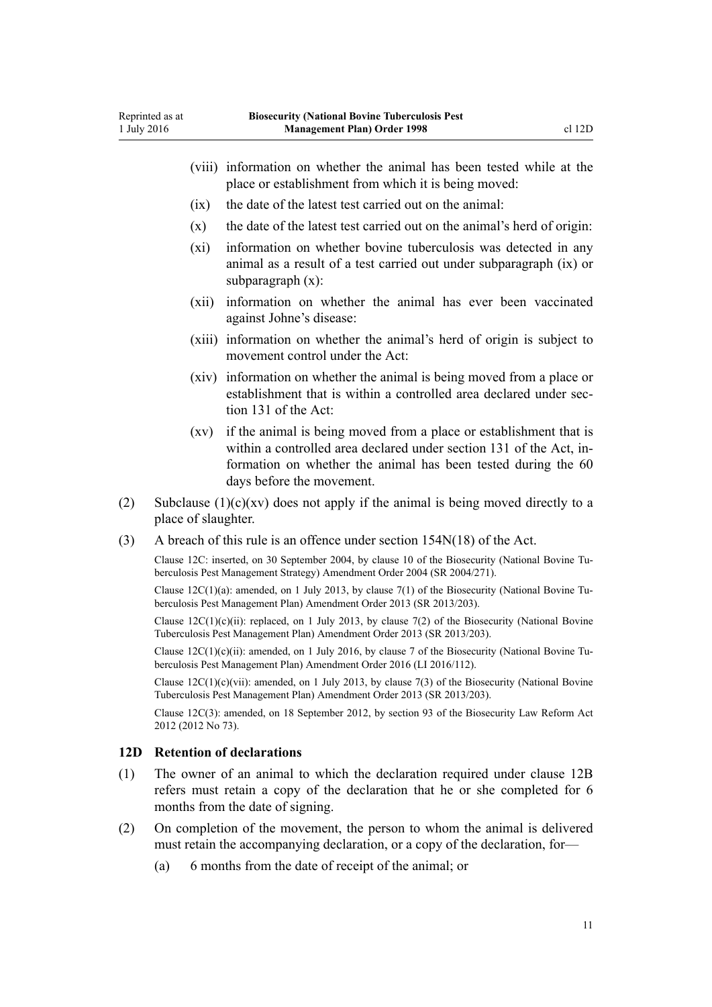- <span id="page-10-0"></span>(viii) information on whether the animal has been tested while at the place or establishment from which it is being moved:
- (ix) the date of the latest test carried out on the animal:
- $(x)$  the date of the latest test carried out on the animal's herd of origin:
- (xi) information on whether bovine tuberculosis was detected in any animal as a result of a test carried out under subparagraph (ix) or subparagraph (x):
- (xii) information on whether the animal has ever been vaccinated against Johne's disease:
- (xiii) information on whether the animal's herd of origin is subject to movement control under the Act:
- (xiv) information on whether the animal is being moved from a place or establishment that is within a controlled area declared under [sec](http://prd-lgnz-nlb.prd.pco.net.nz/pdflink.aspx?id=DLM316356)[tion 131](http://prd-lgnz-nlb.prd.pco.net.nz/pdflink.aspx?id=DLM316356) of the Act:
- (xv) if the animal is being moved from a place or establishment that is within a controlled area declared under [section 131](http://prd-lgnz-nlb.prd.pco.net.nz/pdflink.aspx?id=DLM316356) of the Act, information on whether the animal has been tested during the 60 days before the movement.
- (2) Subclause  $(1)(c)(xy)$  does not apply if the animal is being moved directly to a place of slaughter.
- (3) A breach of this rule is an offence under [section 154N\(18\)](http://prd-lgnz-nlb.prd.pco.net.nz/pdflink.aspx?id=DLM4759461) of the Act.

Clause 12C: inserted, on 30 September 2004, by [clause 10](http://prd-lgnz-nlb.prd.pco.net.nz/pdflink.aspx?id=DLM283083) of the Biosecurity (National Bovine Tuberculosis Pest Management Strategy) Amendment Order 2004 (SR 2004/271).

Clause  $12C(1)(a)$ : amended, on 1 July 2013, by [clause 7\(1\)](http://prd-lgnz-nlb.prd.pco.net.nz/pdflink.aspx?id=DLM5201149) of the Biosecurity (National Bovine Tuberculosis Pest Management Plan) Amendment Order 2013 (SR 2013/203).

Clause  $12C(1)(c)(ii)$ : replaced, on 1 July 2013, by [clause 7\(2\)](http://prd-lgnz-nlb.prd.pco.net.nz/pdflink.aspx?id=DLM5201149) of the Biosecurity (National Bovine Tuberculosis Pest Management Plan) Amendment Order 2013 (SR 2013/203).

Clause  $12C(1)(c)(ii)$ : amended, on 1 July 2016, by [clause 7](http://prd-lgnz-nlb.prd.pco.net.nz/pdflink.aspx?id=DLM6839744) of the Biosecurity (National Bovine Tuberculosis Pest Management Plan) Amendment Order 2016 (LI 2016/112).

Clause  $12C(1)(c)(vi)$ : amended, on 1 July 2013, by [clause 7\(3\)](http://prd-lgnz-nlb.prd.pco.net.nz/pdflink.aspx?id=DLM5201149) of the Biosecurity (National Bovine Tuberculosis Pest Management Plan) Amendment Order 2013 (SR 2013/203).

Clause 12C(3): amended, on 18 September 2012, by [section 93](http://prd-lgnz-nlb.prd.pco.net.nz/pdflink.aspx?id=DLM3388552) of the Biosecurity Law Reform Act 2012 (2012 No 73).

### **12D Retention of declarations**

- (1) The owner of an animal to which the declaration required under [clause 12B](#page-8-0) refers must retain a copy of the declaration that he or she completed for 6 months from the date of signing.
- (2) On completion of the movement, the person to whom the animal is delivered must retain the accompanying declaration, or a copy of the declaration, for—
	- (a) 6 months from the date of receipt of the animal; or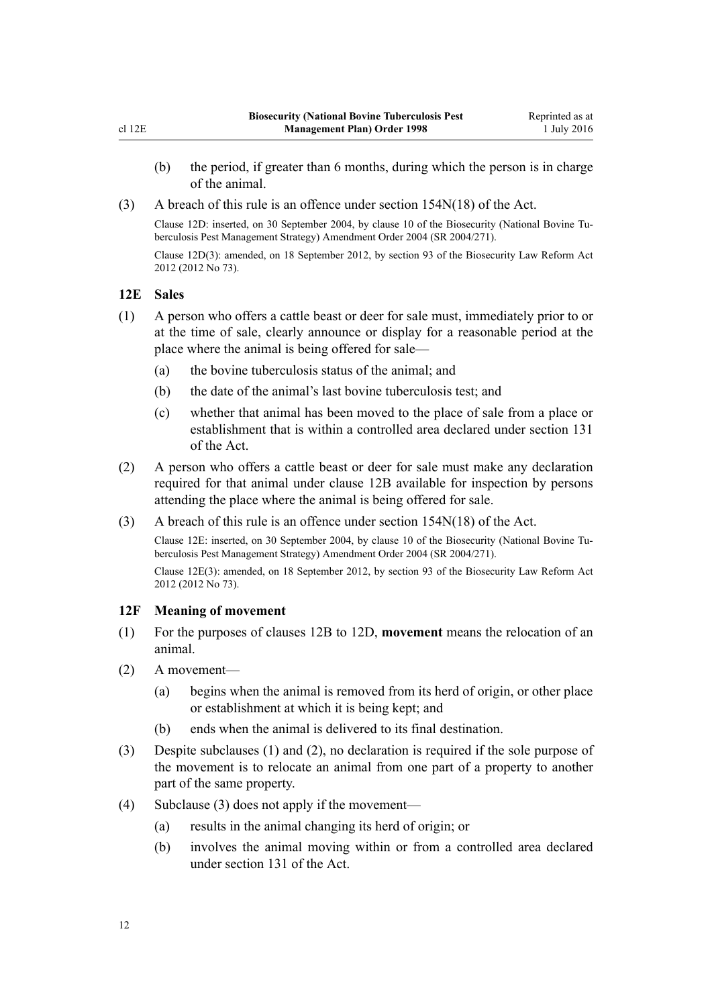- <span id="page-11-0"></span>(b) the period, if greater than 6 months, during which the person is in charge of the animal.
- (3) A breach of this rule is an offence under [section 154N\(18\)](http://prd-lgnz-nlb.prd.pco.net.nz/pdflink.aspx?id=DLM4759461) of the Act.

Clause 12D: inserted, on 30 September 2004, by [clause 10](http://prd-lgnz-nlb.prd.pco.net.nz/pdflink.aspx?id=DLM283083) of the Biosecurity (National Bovine Tuberculosis Pest Management Strategy) Amendment Order 2004 (SR 2004/271). Clause 12D(3): amended, on 18 September 2012, by [section 93](http://prd-lgnz-nlb.prd.pco.net.nz/pdflink.aspx?id=DLM3388552) of the Biosecurity Law Reform Act 2012 (2012 No 73).

### **12E Sales**

- (1) A person who offers a cattle beast or deer for sale must, immediately prior to or at the time of sale, clearly announce or display for a reasonable period at the place where the animal is being offered for sale—
	- (a) the bovine tuberculosis status of the animal; and
	- (b) the date of the animal's last bovine tuberculosis test; and
	- (c) whether that animal has been moved to the place of sale from a place or establishment that is within a controlled area declared under [section 131](http://prd-lgnz-nlb.prd.pco.net.nz/pdflink.aspx?id=DLM316356) of the Act.
- (2) A person who offers a cattle beast or deer for sale must make any declaration required for that animal under [clause 12B](#page-8-0) available for inspection by persons attending the place where the animal is being offered for sale.
- (3) A breach of this rule is an offence under [section 154N\(18\)](http://prd-lgnz-nlb.prd.pco.net.nz/pdflink.aspx?id=DLM4759461) of the Act.

Clause 12E: inserted, on 30 September 2004, by [clause 10](http://prd-lgnz-nlb.prd.pco.net.nz/pdflink.aspx?id=DLM283083) of the Biosecurity (National Bovine Tuberculosis Pest Management Strategy) Amendment Order 2004 (SR 2004/271). Clause 12E(3): amended, on 18 September 2012, by [section 93](http://prd-lgnz-nlb.prd.pco.net.nz/pdflink.aspx?id=DLM3388552) of the Biosecurity Law Reform Act 2012 (2012 No 73).

### **12F Meaning of movement**

- (1) For the purposes of [clauses 12B to 12D](#page-8-0), **movement** means the relocation of an animal.
- (2) A movement—
	- (a) begins when the animal is removed from its herd of origin, or other place or establishment at which it is being kept; and
	- (b) ends when the animal is delivered to its final destination.
- (3) Despite subclauses (1) and (2), no declaration is required if the sole purpose of the movement is to relocate an animal from one part of a property to another part of the same property.
- (4) Subclause (3) does not apply if the movement—
	- (a) results in the animal changing its herd of origin; or
	- (b) involves the animal moving within or from a controlled area declared under [section 131](http://prd-lgnz-nlb.prd.pco.net.nz/pdflink.aspx?id=DLM316356) of the Act.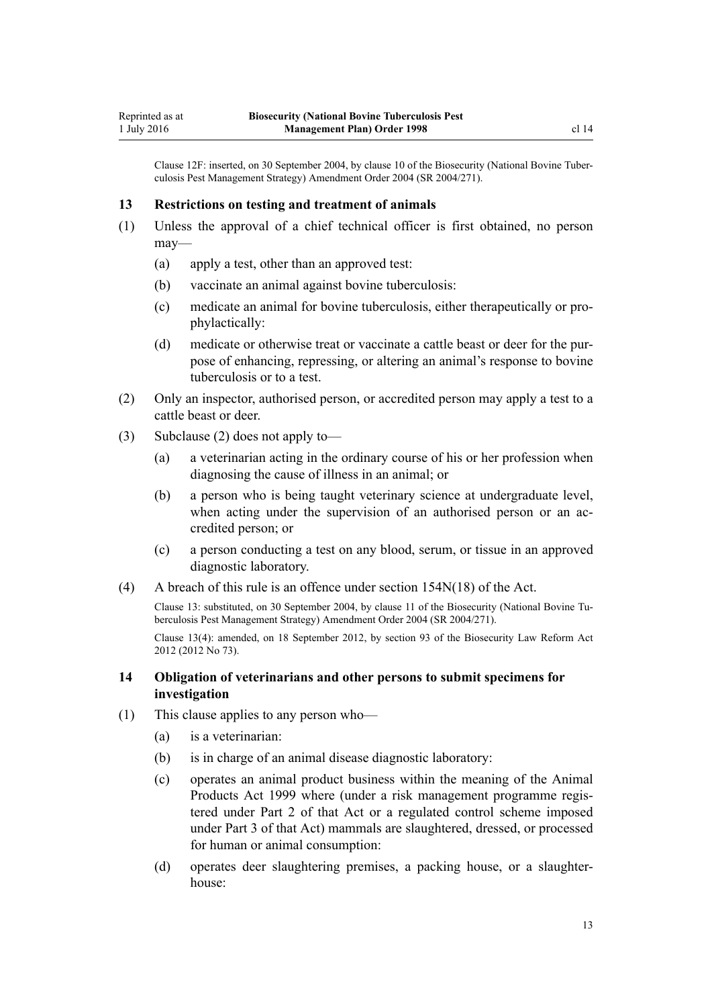<span id="page-12-0"></span>Clause 12F: inserted, on 30 September 2004, by [clause 10](http://prd-lgnz-nlb.prd.pco.net.nz/pdflink.aspx?id=DLM283083) of the Biosecurity (National Bovine Tuberculosis Pest Management Strategy) Amendment Order 2004 (SR 2004/271).

#### **13 Restrictions on testing and treatment of animals**

- (1) Unless the approval of a chief technical officer is first obtained, no person may—
	- (a) apply a test, other than an approved test:
	- (b) vaccinate an animal against bovine tuberculosis:
	- (c) medicate an animal for bovine tuberculosis, either therapeutically or prophylactically:
	- (d) medicate or otherwise treat or vaccinate a cattle beast or deer for the purpose of enhancing, repressing, or altering an animal's response to bovine tuberculosis or to a test.
- (2) Only an inspector, authorised person, or accredited person may apply a test to a cattle beast or deer.
- (3) Subclause (2) does not apply to—
	- (a) a veterinarian acting in the ordinary course of his or her profession when diagnosing the cause of illness in an animal; or
	- (b) a person who is being taught veterinary science at undergraduate level, when acting under the supervision of an authorised person or an accredited person; or
	- (c) a person conducting a test on any blood, serum, or tissue in an approved diagnostic laboratory.
- (4) A breach of this rule is an offence under [section 154N\(18\)](http://prd-lgnz-nlb.prd.pco.net.nz/pdflink.aspx?id=DLM4759461) of the Act.

Clause 13: substituted, on 30 September 2004, by [clause 11](http://prd-lgnz-nlb.prd.pco.net.nz/pdflink.aspx?id=DLM283091) of the Biosecurity (National Bovine Tuberculosis Pest Management Strategy) Amendment Order 2004 (SR 2004/271).

Clause 13(4): amended, on 18 September 2012, by [section 93](http://prd-lgnz-nlb.prd.pco.net.nz/pdflink.aspx?id=DLM3388552) of the Biosecurity Law Reform Act 2012 (2012 No 73).

### **14 Obligation of veterinarians and other persons to submit specimens for investigation**

- (1) This clause applies to any person who—
	- (a) is a veterinarian:
	- (b) is in charge of an animal disease diagnostic laboratory:
	- (c) operates an animal product business within the meaning of the [Animal](http://prd-lgnz-nlb.prd.pco.net.nz/pdflink.aspx?id=DLM33501) [Products Act 1999](http://prd-lgnz-nlb.prd.pco.net.nz/pdflink.aspx?id=DLM33501) where (under a risk management programme registered under [Part 2](http://prd-lgnz-nlb.prd.pco.net.nz/pdflink.aspx?id=DLM34308) of that Act or a regulated control scheme imposed under [Part 3](http://prd-lgnz-nlb.prd.pco.net.nz/pdflink.aspx?id=DLM34388) of that Act) mammals are slaughtered, dressed, or processed for human or animal consumption:
	- (d) operates deer slaughtering premises, a packing house, or a slaughterhouse: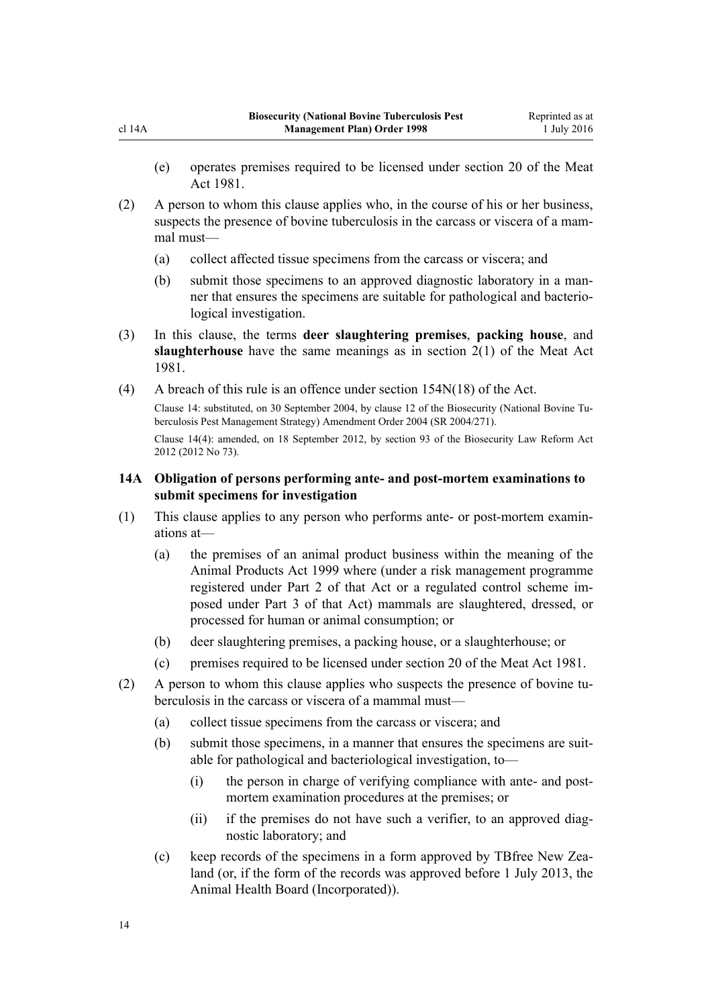- <span id="page-13-0"></span>(e) operates premises required to be licensed under section 20 of the Meat Act 1981.
- (2) A person to whom this clause applies who, in the course of his or her business, suspects the presence of bovine tuberculosis in the carcass or viscera of a mammal must—
	- (a) collect affected tissue specimens from the carcass or viscera; and
	- (b) submit those specimens to an approved diagnostic laboratory in a manner that ensures the specimens are suitable for pathological and bacteriological investigation.
- (3) In this clause, the terms **deer slaughtering premises**, **packing house**, and **slaughterhouse** have the same meanings as in section 2(1) of the Meat Act 1981.
- (4) A breach of this rule is an offence under [section 154N\(18\)](http://prd-lgnz-nlb.prd.pco.net.nz/pdflink.aspx?id=DLM4759461) of the Act.

Clause 14: substituted, on 30 September 2004, by [clause 12](http://prd-lgnz-nlb.prd.pco.net.nz/pdflink.aspx?id=DLM283093) of the Biosecurity (National Bovine Tuberculosis Pest Management Strategy) Amendment Order 2004 (SR 2004/271).

Clause 14(4): amended, on 18 September 2012, by [section 93](http://prd-lgnz-nlb.prd.pco.net.nz/pdflink.aspx?id=DLM3388552) of the Biosecurity Law Reform Act 2012 (2012 No 73).

### **14A Obligation of persons performing ante- and post-mortem examinations to submit specimens for investigation**

- (1) This clause applies to any person who performs ante- or post-mortem examinations at—
	- (a) the premises of an animal product business within the meaning of the [Animal Products Act 1999](http://prd-lgnz-nlb.prd.pco.net.nz/pdflink.aspx?id=DLM33501) where (under a risk management programme registered under [Part 2](http://prd-lgnz-nlb.prd.pco.net.nz/pdflink.aspx?id=DLM34308) of that Act or a regulated control scheme imposed under [Part 3](http://prd-lgnz-nlb.prd.pco.net.nz/pdflink.aspx?id=DLM34388) of that Act) mammals are slaughtered, dressed, or processed for human or animal consumption; or
	- (b) deer slaughtering premises, a packing house, or a slaughterhouse; or
	- (c) premises required to be licensed under section 20 of the Meat Act 1981.
- (2) A person to whom this clause applies who suspects the presence of bovine tuberculosis in the carcass or viscera of a mammal must—
	- (a) collect tissue specimens from the carcass or viscera; and
	- (b) submit those specimens, in a manner that ensures the specimens are suitable for pathological and bacteriological investigation, to—
		- (i) the person in charge of verifying compliance with ante- and postmortem examination procedures at the premises; or
		- (ii) if the premises do not have such a verifier, to an approved diagnostic laboratory; and
	- (c) keep records of the specimens in a form approved by TBfree New Zealand (or, if the form of the records was approved before 1 July 2013, the Animal Health Board (Incorporated)).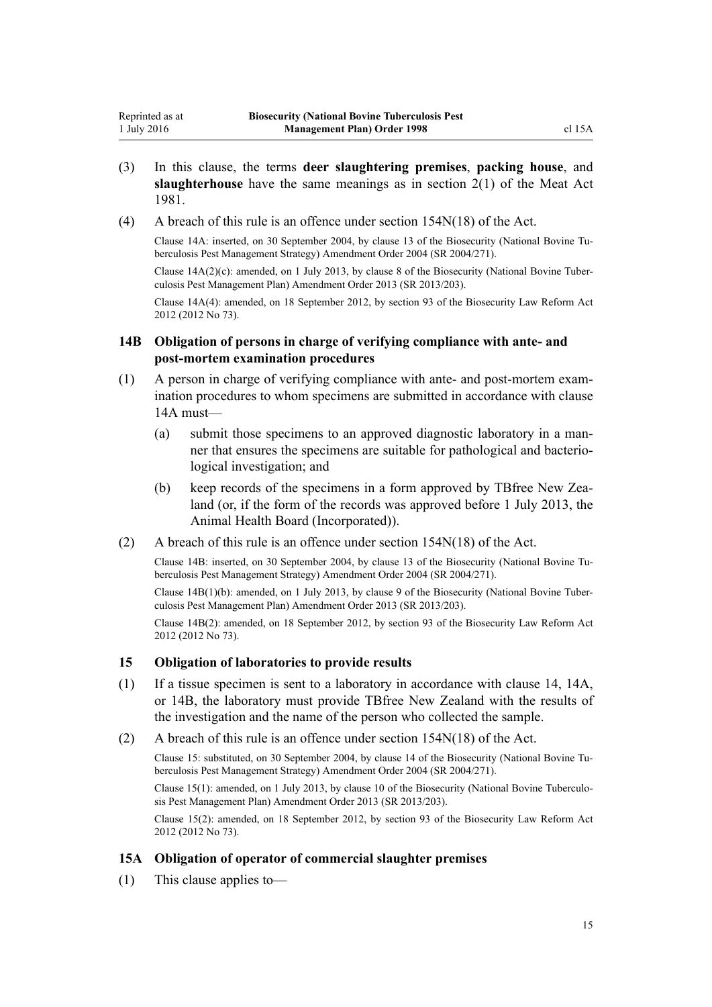(4) A breach of this rule is an offence under [section 154N\(18\)](http://prd-lgnz-nlb.prd.pco.net.nz/pdflink.aspx?id=DLM4759461) of the Act.

1981.

<span id="page-14-0"></span>Reprinted as at 1 July 2016

> Clause 14A: inserted, on 30 September 2004, by [clause 13](http://prd-lgnz-nlb.prd.pco.net.nz/pdflink.aspx?id=DLM283098) of the Biosecurity (National Bovine Tuberculosis Pest Management Strategy) Amendment Order 2004 (SR 2004/271).

> Clause 14A(2)(c): amended, on 1 July 2013, by [clause 8](http://prd-lgnz-nlb.prd.pco.net.nz/pdflink.aspx?id=DLM5201150) of the Biosecurity (National Bovine Tuberculosis Pest Management Plan) Amendment Order 2013 (SR 2013/203).

> Clause 14A(4): amended, on 18 September 2012, by [section 93](http://prd-lgnz-nlb.prd.pco.net.nz/pdflink.aspx?id=DLM3388552) of the Biosecurity Law Reform Act 2012 (2012 No 73).

### **14B Obligation of persons in charge of verifying compliance with ante- and post-mortem examination procedures**

- (1) A person in charge of verifying compliance with ante- and post-mortem examination procedures to whom specimens are submitted in accordance with [clause](#page-13-0) [14A](#page-13-0) must—
	- (a) submit those specimens to an approved diagnostic laboratory in a manner that ensures the specimens are suitable for pathological and bacteriological investigation; and
	- (b) keep records of the specimens in a form approved by TBfree New Zealand (or, if the form of the records was approved before 1 July 2013, the Animal Health Board (Incorporated)).
- (2) A breach of this rule is an offence under [section 154N\(18\)](http://prd-lgnz-nlb.prd.pco.net.nz/pdflink.aspx?id=DLM4759461) of the Act.

Clause 14B: inserted, on 30 September 2004, by [clause 13](http://prd-lgnz-nlb.prd.pco.net.nz/pdflink.aspx?id=DLM283098) of the Biosecurity (National Bovine Tuberculosis Pest Management Strategy) Amendment Order 2004 (SR 2004/271).

Clause 14B(1)(b): amended, on 1 July 2013, by [clause 9](http://prd-lgnz-nlb.prd.pco.net.nz/pdflink.aspx?id=DLM5201151) of the Biosecurity (National Bovine Tuberculosis Pest Management Plan) Amendment Order 2013 (SR 2013/203).

Clause 14B(2): amended, on 18 September 2012, by [section 93](http://prd-lgnz-nlb.prd.pco.net.nz/pdflink.aspx?id=DLM3388552) of the Biosecurity Law Reform Act 2012 (2012 No 73).

### **15 Obligation of laboratories to provide results**

- (1) If a tissue specimen is sent to a laboratory in accordance with [clause 14,](#page-12-0) [14A](#page-13-0), or 14B, the laboratory must provide TBfree New Zealand with the results of the investigation and the name of the person who collected the sample.
- (2) A breach of this rule is an offence under [section 154N\(18\)](http://prd-lgnz-nlb.prd.pco.net.nz/pdflink.aspx?id=DLM4759461) of the Act.

Clause 15: substituted, on 30 September 2004, by [clause 14](http://prd-lgnz-nlb.prd.pco.net.nz/pdflink.aspx?id=DLM283604) of the Biosecurity (National Bovine Tuberculosis Pest Management Strategy) Amendment Order 2004 (SR 2004/271).

Clause 15(1): amended, on 1 July 2013, by [clause 10](http://prd-lgnz-nlb.prd.pco.net.nz/pdflink.aspx?id=DLM5201152) of the Biosecurity (National Bovine Tuberculosis Pest Management Plan) Amendment Order 2013 (SR 2013/203).

Clause 15(2): amended, on 18 September 2012, by [section 93](http://prd-lgnz-nlb.prd.pco.net.nz/pdflink.aspx?id=DLM3388552) of the Biosecurity Law Reform Act 2012 (2012 No 73).

### **15A Obligation of operator of commercial slaughter premises**

(1) This clause applies to—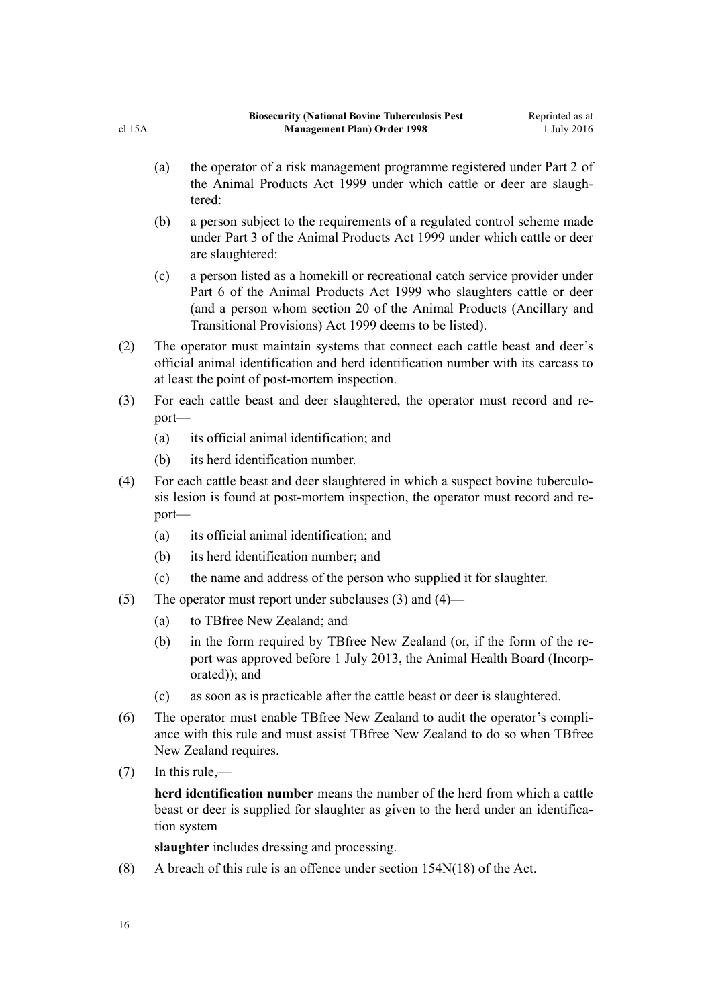- (a) the operator of a risk management programme registered under [Part 2](http://prd-lgnz-nlb.prd.pco.net.nz/pdflink.aspx?id=DLM34308) of the Animal Products Act 1999 under which cattle or deer are slaughtered:
- (b) a person subject to the requirements of a regulated control scheme made under [Part 3](http://prd-lgnz-nlb.prd.pco.net.nz/pdflink.aspx?id=DLM34388) of the Animal Products Act 1999 under which cattle or deer are slaughtered:
- (c) a person listed as a homekill or recreational catch service provider under [Part 6](http://prd-lgnz-nlb.prd.pco.net.nz/pdflink.aspx?id=DLM34877) of the Animal Products Act 1999 who slaughters cattle or deer (and a person whom [section 20](http://prd-lgnz-nlb.prd.pco.net.nz/pdflink.aspx?id=DLM37216) of the Animal Products (Ancillary and Transitional Provisions) Act 1999 deems to be listed).
- (2) The operator must maintain systems that connect each cattle beast and deer's official animal identification and herd identification number with its carcass to at least the point of post-mortem inspection.
- (3) For each cattle beast and deer slaughtered, the operator must record and report—
	- (a) its official animal identification; and
	- (b) its herd identification number.
- (4) For each cattle beast and deer slaughtered in which a suspect bovine tuberculosis lesion is found at post-mortem inspection, the operator must record and report—
	- (a) its official animal identification; and
	- (b) its herd identification number; and
	- (c) the name and address of the person who supplied it for slaughter.
- (5) The operator must report under subclauses (3) and (4)—
	- (a) to TBfree New Zealand; and
	- (b) in the form required by TBfree New Zealand (or, if the form of the report was approved before 1 July 2013, the Animal Health Board (Incorporated)); and
	- (c) as soon as is practicable after the cattle beast or deer is slaughtered.
- (6) The operator must enable TBfree New Zealand to audit the operator's compliance with this rule and must assist TBfree New Zealand to do so when TBfree New Zealand requires.
- $(7)$  In this rule,—

**herd identification number** means the number of the herd from which a cattle beast or deer is supplied for slaughter as given to the herd under an identification system

**slaughter** includes dressing and processing.

(8) A breach of this rule is an offence under [section 154N\(18\)](http://prd-lgnz-nlb.prd.pco.net.nz/pdflink.aspx?id=DLM4759461) of the Act.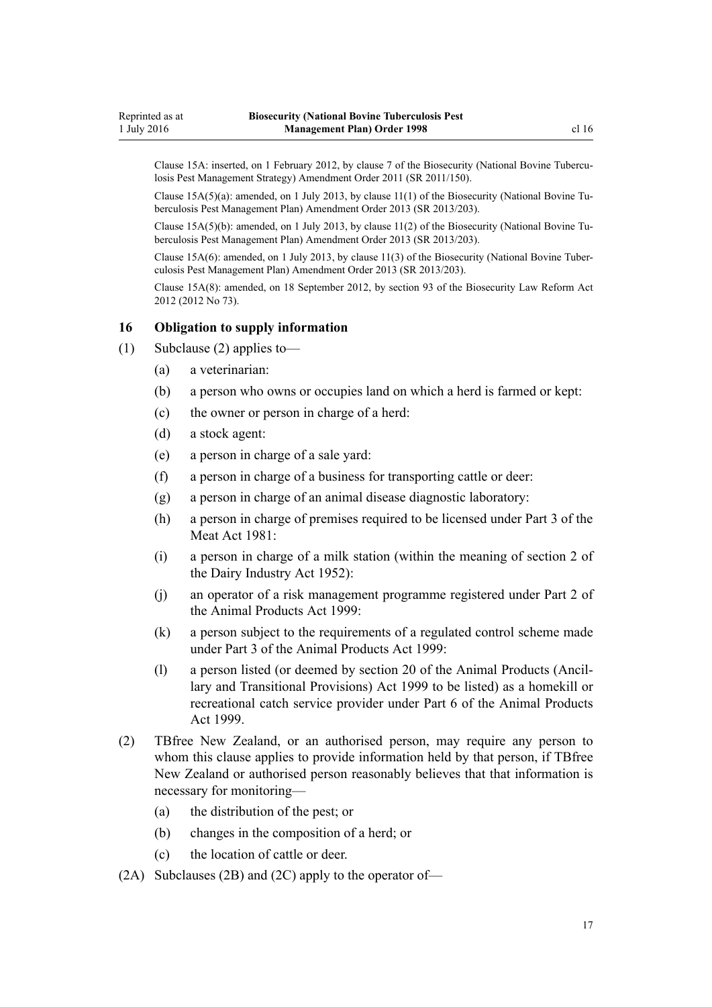<span id="page-16-0"></span>Clause 15A: inserted, on 1 February 2012, by [clause 7](http://prd-lgnz-nlb.prd.pco.net.nz/pdflink.aspx?id=DLM3765101) of the Biosecurity (National Bovine Tuberculosis Pest Management Strategy) Amendment Order 2011 (SR 2011/150).

Clause  $15A(5)(a)$ : amended, on 1 July 2013, by clause  $11(1)$  of the Biosecurity (National Bovine Tuberculosis Pest Management Plan) Amendment Order 2013 (SR 2013/203).

Clause 15A(5)(b): amended, on 1 July 2013, by [clause 11\(2\)](http://prd-lgnz-nlb.prd.pco.net.nz/pdflink.aspx?id=DLM5201153) of the Biosecurity (National Bovine Tuberculosis Pest Management Plan) Amendment Order 2013 (SR 2013/203).

Clause 15A(6): amended, on 1 July 2013, by [clause 11\(3\)](http://prd-lgnz-nlb.prd.pco.net.nz/pdflink.aspx?id=DLM5201153) of the Biosecurity (National Bovine Tuberculosis Pest Management Plan) Amendment Order 2013 (SR 2013/203).

Clause 15A(8): amended, on 18 September 2012, by [section 93](http://prd-lgnz-nlb.prd.pco.net.nz/pdflink.aspx?id=DLM3388552) of the Biosecurity Law Reform Act 2012 (2012 No 73).

### **16 Obligation to supply information**

- (1) Subclause (2) applies to—
	- (a) a veterinarian:
	- (b) a person who owns or occupies land on which a herd is farmed or kept:
	- (c) the owner or person in charge of a herd:
	- (d) a stock agent:
	- (e) a person in charge of a sale yard:
	- (f) a person in charge of a business for transporting cattle or deer:
	- (g) a person in charge of an animal disease diagnostic laboratory:
	- (h) a person in charge of premises required to be licensed under Part 3 of the Meat Act 1981:
	- (i) a person in charge of a milk station (within the meaning of section 2 of the Dairy Industry Act 1952):
	- (j) an operator of a risk management programme registered under [Part 2](http://prd-lgnz-nlb.prd.pco.net.nz/pdflink.aspx?id=DLM34308) of the Animal Products Act 1999:
	- (k) a person subject to the requirements of a regulated control scheme made under [Part 3](http://prd-lgnz-nlb.prd.pco.net.nz/pdflink.aspx?id=DLM34388) of the Animal Products Act 1999:
	- (l) a person listed (or deemed by [section 20](http://prd-lgnz-nlb.prd.pco.net.nz/pdflink.aspx?id=DLM37216) of the Animal Products (Ancillary and Transitional Provisions) Act 1999 to be listed) as a homekill or recreational catch service provider under [Part 6](http://prd-lgnz-nlb.prd.pco.net.nz/pdflink.aspx?id=DLM34877) of the Animal Products Act 1999.
- (2) TBfree New Zealand, or an authorised person, may require any person to whom this clause applies to provide information held by that person, if TBfree New Zealand or authorised person reasonably believes that that information is necessary for monitoring—
	- (a) the distribution of the pest; or
	- (b) changes in the composition of a herd; or
	- (c) the location of cattle or deer.
- (2A) Subclauses (2B) and (2C) apply to the operator of—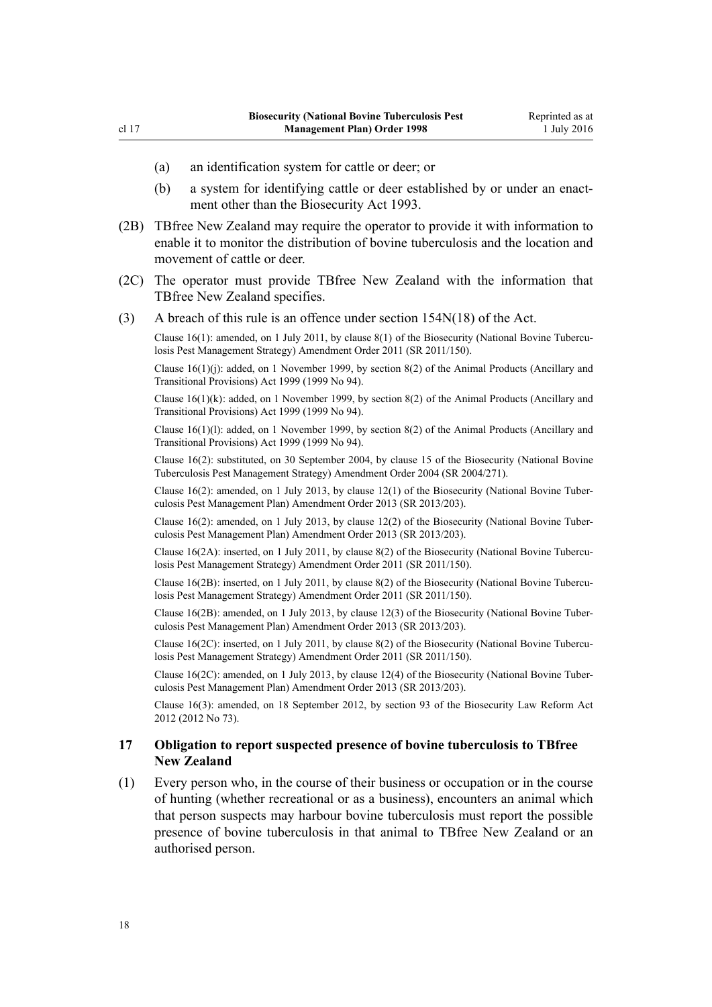- <span id="page-17-0"></span>(a) an identification system for cattle or deer; or
- (b) a system for identifying cattle or deer established by or under an enactment other than the [Biosecurity Act 1993.](http://prd-lgnz-nlb.prd.pco.net.nz/pdflink.aspx?id=DLM314622)
- (2B) TBfree New Zealand may require the operator to provide it with information to enable it to monitor the distribution of bovine tuberculosis and the location and movement of cattle or deer.
- (2C) The operator must provide TBfree New Zealand with the information that TBfree New Zealand specifies.
- (3) A breach of this rule is an offence under [section 154N\(18\)](http://prd-lgnz-nlb.prd.pco.net.nz/pdflink.aspx?id=DLM4759461) of the Act.

Clause 16(1): amended, on 1 July 2011, by [clause 8\(1\)](http://prd-lgnz-nlb.prd.pco.net.nz/pdflink.aspx?id=DLM3765133) of the Biosecurity (National Bovine Tuberculosis Pest Management Strategy) Amendment Order 2011 (SR 2011/150).

Clause 16(1)(j): added, on 1 November 1999, by [section 8\(2\)](http://prd-lgnz-nlb.prd.pco.net.nz/pdflink.aspx?id=DLM36187) of the Animal Products (Ancillary and Transitional Provisions) Act 1999 (1999 No 94).

Clause  $16(1)(k)$ : added, on 1 November 1999, by [section 8\(2\)](http://prd-lgnz-nlb.prd.pco.net.nz/pdflink.aspx?id=DLM36187) of the Animal Products (Ancillary and Transitional Provisions) Act 1999 (1999 No 94).

Clause 16(1)(l): added, on 1 November 1999, by [section 8\(2\)](http://prd-lgnz-nlb.prd.pco.net.nz/pdflink.aspx?id=DLM36187) of the Animal Products (Ancillary and Transitional Provisions) Act 1999 (1999 No 94).

Clause 16(2): substituted, on 30 September 2004, by [clause 15](http://prd-lgnz-nlb.prd.pco.net.nz/pdflink.aspx?id=DLM283606) of the Biosecurity (National Bovine Tuberculosis Pest Management Strategy) Amendment Order 2004 (SR 2004/271).

Clause 16(2): amended, on 1 July 2013, by [clause 12\(1\)](http://prd-lgnz-nlb.prd.pco.net.nz/pdflink.aspx?id=DLM5201154) of the Biosecurity (National Bovine Tuberculosis Pest Management Plan) Amendment Order 2013 (SR 2013/203).

Clause 16(2): amended, on 1 July 2013, by [clause 12\(2\)](http://prd-lgnz-nlb.prd.pco.net.nz/pdflink.aspx?id=DLM5201154) of the Biosecurity (National Bovine Tuberculosis Pest Management Plan) Amendment Order 2013 (SR 2013/203).

Clause 16(2A): inserted, on 1 July 2011, by [clause 8\(2\)](http://prd-lgnz-nlb.prd.pco.net.nz/pdflink.aspx?id=DLM3765133) of the Biosecurity (National Bovine Tuberculosis Pest Management Strategy) Amendment Order 2011 (SR 2011/150).

Clause 16(2B): inserted, on 1 July 2011, by [clause 8\(2\)](http://prd-lgnz-nlb.prd.pco.net.nz/pdflink.aspx?id=DLM3765133) of the Biosecurity (National Bovine Tuberculosis Pest Management Strategy) Amendment Order 2011 (SR 2011/150).

Clause 16(2B): amended, on 1 July 2013, by [clause 12\(3\)](http://prd-lgnz-nlb.prd.pco.net.nz/pdflink.aspx?id=DLM5201154) of the Biosecurity (National Bovine Tuberculosis Pest Management Plan) Amendment Order 2013 (SR 2013/203).

Clause 16(2C): inserted, on 1 July 2011, by [clause 8\(2\)](http://prd-lgnz-nlb.prd.pco.net.nz/pdflink.aspx?id=DLM3765133) of the Biosecurity (National Bovine Tuberculosis Pest Management Strategy) Amendment Order 2011 (SR 2011/150).

Clause 16(2C): amended, on 1 July 2013, by [clause 12\(4\)](http://prd-lgnz-nlb.prd.pco.net.nz/pdflink.aspx?id=DLM5201154) of the Biosecurity (National Bovine Tuberculosis Pest Management Plan) Amendment Order 2013 (SR 2013/203).

Clause 16(3): amended, on 18 September 2012, by [section 93](http://prd-lgnz-nlb.prd.pco.net.nz/pdflink.aspx?id=DLM3388552) of the Biosecurity Law Reform Act 2012 (2012 No 73).

### **17 Obligation to report suspected presence of bovine tuberculosis to TBfree New Zealand**

(1) Every person who, in the course of their business or occupation or in the course of hunting (whether recreational or as a business), encounters an animal which that person suspects may harbour bovine tuberculosis must report the possible presence of bovine tuberculosis in that animal to TBfree New Zealand or an authorised person.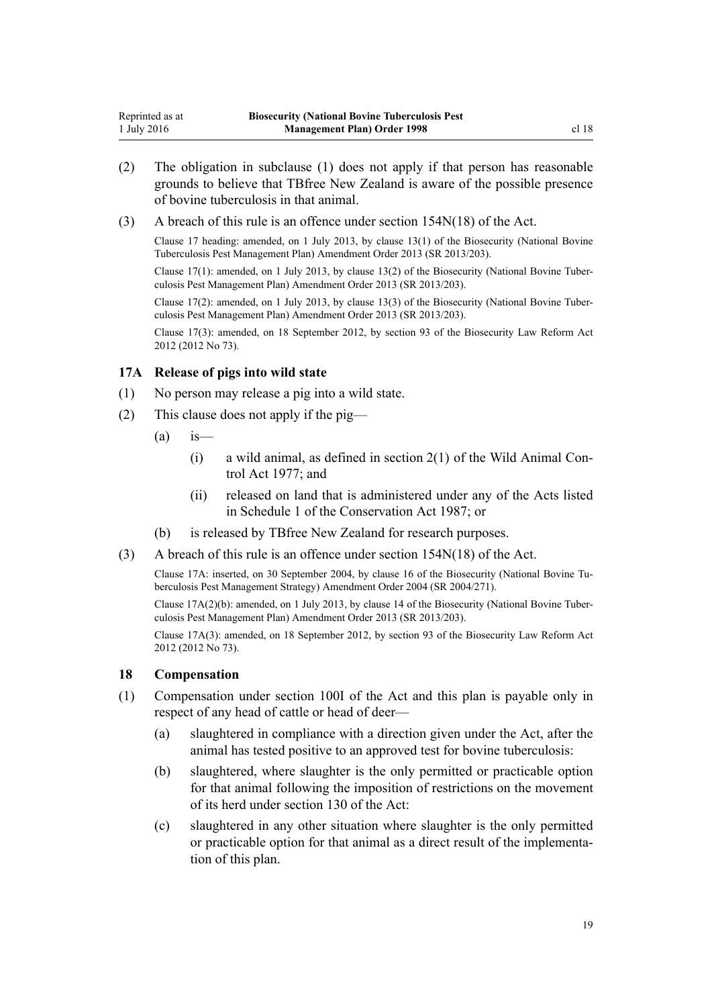<span id="page-18-0"></span>(3) A breach of this rule is an offence under [section 154N\(18\)](http://prd-lgnz-nlb.prd.pco.net.nz/pdflink.aspx?id=DLM4759461) of the Act.

Clause 17 heading: amended, on 1 July 2013, by [clause 13\(1\)](http://prd-lgnz-nlb.prd.pco.net.nz/pdflink.aspx?id=DLM5201155) of the Biosecurity (National Bovine Tuberculosis Pest Management Plan) Amendment Order 2013 (SR 2013/203).

Clause 17(1): amended, on 1 July 2013, by [clause 13\(2\)](http://prd-lgnz-nlb.prd.pco.net.nz/pdflink.aspx?id=DLM5201155) of the Biosecurity (National Bovine Tuberculosis Pest Management Plan) Amendment Order 2013 (SR 2013/203).

Clause 17(2): amended, on 1 July 2013, by [clause 13\(3\)](http://prd-lgnz-nlb.prd.pco.net.nz/pdflink.aspx?id=DLM5201155) of the Biosecurity (National Bovine Tuberculosis Pest Management Plan) Amendment Order 2013 (SR 2013/203).

Clause 17(3): amended, on 18 September 2012, by [section 93](http://prd-lgnz-nlb.prd.pco.net.nz/pdflink.aspx?id=DLM3388552) of the Biosecurity Law Reform Act 2012 (2012 No 73).

### **17A Release of pigs into wild state**

(1) No person may release a pig into a wild state.

of bovine tuberculosis in that animal.

- (2) This clause does not apply if the pig—
	- $(a)$  is
		- $(i)$  a wild animal, as defined in section  $2(1)$  of the Wild Animal Control Act 1977; and
		- (ii) released on land that is administered under any of the Acts listed in [Schedule 1](http://prd-lgnz-nlb.prd.pco.net.nz/pdflink.aspx?id=DLM107200) of the Conservation Act 1987; or
	- (b) is released by TBfree New Zealand for research purposes.
- (3) A breach of this rule is an offence under [section 154N\(18\)](http://prd-lgnz-nlb.prd.pco.net.nz/pdflink.aspx?id=DLM4759461) of the Act.

Clause 17A: inserted, on 30 September 2004, by [clause 16](http://prd-lgnz-nlb.prd.pco.net.nz/pdflink.aspx?id=DLM283607) of the Biosecurity (National Bovine Tuberculosis Pest Management Strategy) Amendment Order 2004 (SR 2004/271).

Clause 17A(2)(b): amended, on 1 July 2013, by [clause 14](http://prd-lgnz-nlb.prd.pco.net.nz/pdflink.aspx?id=DLM5201156) of the Biosecurity (National Bovine Tuberculosis Pest Management Plan) Amendment Order 2013 (SR 2013/203).

Clause 17A(3): amended, on 18 September 2012, by [section 93](http://prd-lgnz-nlb.prd.pco.net.nz/pdflink.aspx?id=DLM3388552) of the Biosecurity Law Reform Act 2012 (2012 No 73).

### **18 Compensation**

- (1) Compensation under [section 100I](http://prd-lgnz-nlb.prd.pco.net.nz/pdflink.aspx?id=DLM4758108) of the Act and this plan is payable only in respect of any head of cattle or head of deer—
	- (a) slaughtered in compliance with a direction given under the Act, after the animal has tested positive to an approved test for bovine tuberculosis:
	- (b) slaughtered, where slaughter is the only permitted or practicable option for that animal following the imposition of restrictions on the movement of its herd under [section 130](http://prd-lgnz-nlb.prd.pco.net.nz/pdflink.aspx?id=DLM316351) of the Act:
	- (c) slaughtered in any other situation where slaughter is the only permitted or practicable option for that animal as a direct result of the implementation of this plan.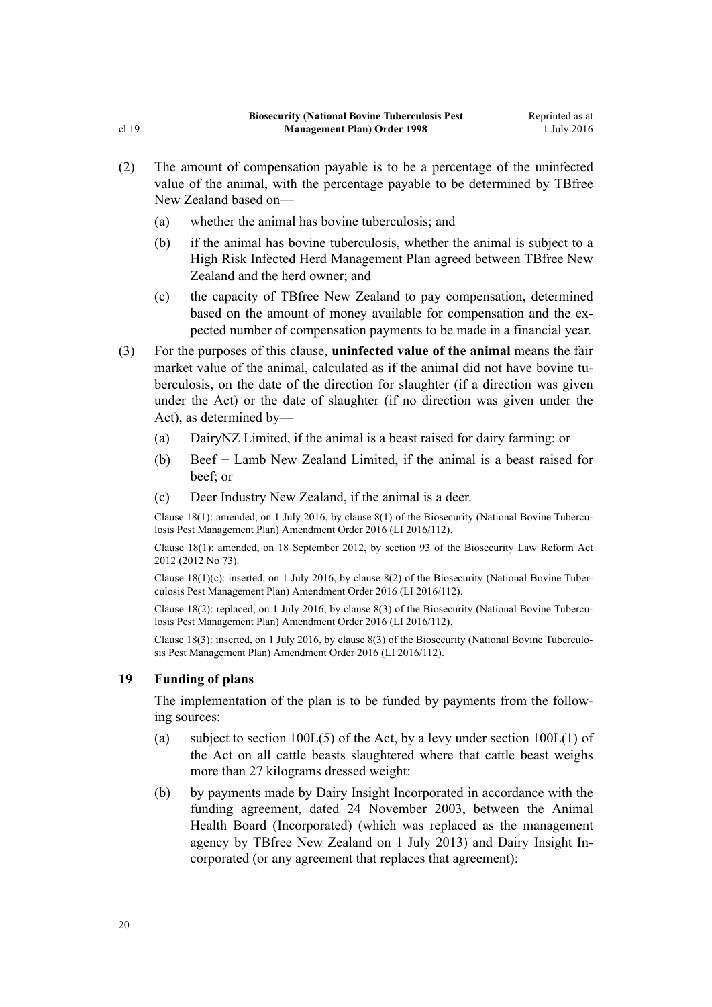- <span id="page-19-0"></span>(2) The amount of compensation payable is to be a percentage of the uninfected value of the animal, with the percentage payable to be determined by TBfree New Zealand based on—
	- (a) whether the animal has bovine tuberculosis; and
	- (b) if the animal has bovine tuberculosis, whether the animal is subject to a High Risk Infected Herd Management Plan agreed between TBfree New Zealand and the herd owner; and
	- (c) the capacity of TBfree New Zealand to pay compensation, determined based on the amount of money available for compensation and the expected number of compensation payments to be made in a financial year.
- (3) For the purposes of this clause, **uninfected value of the animal** means the fair market value of the animal, calculated as if the animal did not have bovine tuberculosis, on the date of the direction for slaughter (if a direction was given under the Act) or the date of slaughter (if no direction was given under the Act), as determined by—
	- (a) DairyNZ Limited, if the animal is a beast raised for dairy farming; or
	- (b) Beef + Lamb New Zealand Limited, if the animal is a beast raised for beef; or
	- (c) Deer Industry New Zealand, if the animal is a deer.

Clause 18(1): amended, on 1 July 2016, by [clause 8\(1\)](http://prd-lgnz-nlb.prd.pco.net.nz/pdflink.aspx?id=DLM6839745) of the Biosecurity (National Bovine Tuberculosis Pest Management Plan) Amendment Order 2016 (LI 2016/112).

Clause 18(1): amended, on 18 September 2012, by [section 93](http://prd-lgnz-nlb.prd.pco.net.nz/pdflink.aspx?id=DLM3388552) of the Biosecurity Law Reform Act 2012 (2012 No 73).

Clause 18(1)(c): inserted, on 1 July 2016, by [clause 8\(2\)](http://prd-lgnz-nlb.prd.pco.net.nz/pdflink.aspx?id=DLM6839745) of the Biosecurity (National Bovine Tuberculosis Pest Management Plan) Amendment Order 2016 (LI 2016/112).

Clause 18(2): replaced, on 1 July 2016, by [clause 8\(3\)](http://prd-lgnz-nlb.prd.pco.net.nz/pdflink.aspx?id=DLM6839745) of the Biosecurity (National Bovine Tuberculosis Pest Management Plan) Amendment Order 2016 (LI 2016/112).

Clause 18(3): inserted, on 1 July 2016, by [clause 8\(3\)](http://prd-lgnz-nlb.prd.pco.net.nz/pdflink.aspx?id=DLM6839745) of the Biosecurity (National Bovine Tuberculosis Pest Management Plan) Amendment Order 2016 (LI 2016/112).

### **19 Funding of plans**

The implementation of the plan is to be funded by payments from the following sources:

- (a) subject to section  $100L(5)$  of the Act, by a levy under section  $100L(1)$  of the Act on all cattle beasts slaughtered where that cattle beast weighs more than 27 kilograms dressed weight:
- (b) by payments made by Dairy Insight Incorporated in accordance with the funding agreement, dated 24 November 2003, between the Animal Health Board (Incorporated) (which was replaced as the management agency by TBfree New Zealand on 1 July 2013) and Dairy Insight Incorporated (or any agreement that replaces that agreement):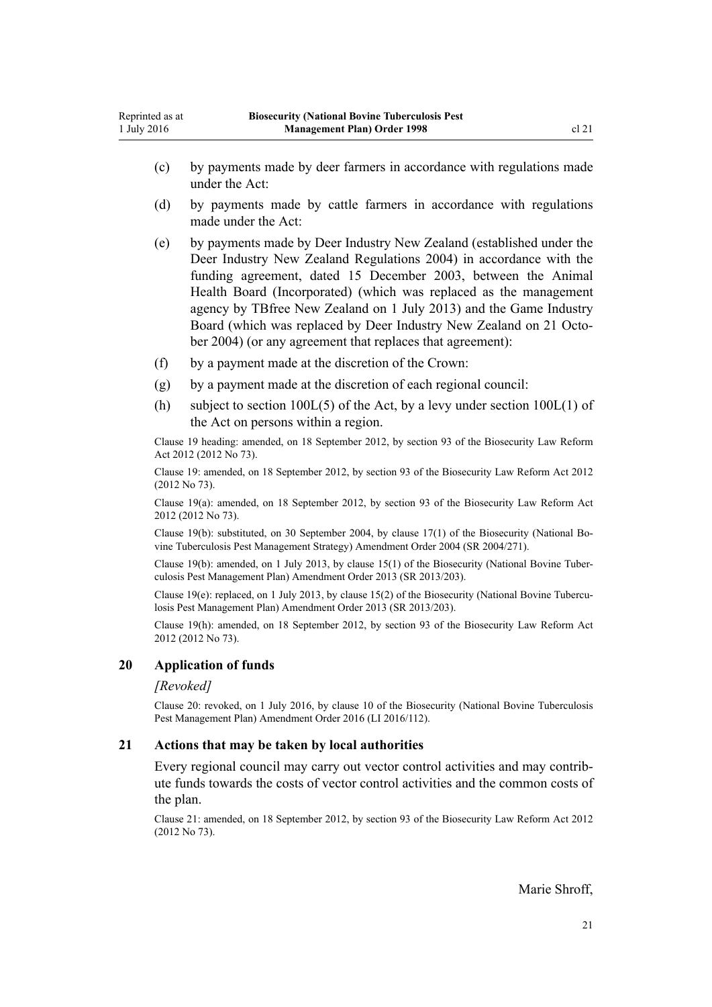- <span id="page-20-0"></span>(c) by payments made by deer farmers in accordance with regulations made under the Act:
- (d) by payments made by cattle farmers in accordance with regulations made under the Act:
- (e) by payments made by Deer Industry New Zealand (established under the [Deer Industry New Zealand Regulations 2004](http://prd-lgnz-nlb.prd.pco.net.nz/pdflink.aspx?id=DLM289175)) in accordance with the funding agreement, dated 15 December 2003, between the Animal Health Board (Incorporated) (which was replaced as the management agency by TBfree New Zealand on 1 July 2013) and the Game Industry Board (which was replaced by Deer Industry New Zealand on 21 October 2004) (or any agreement that replaces that agreement):
- (f) by a payment made at the discretion of the Crown:
- (g) by a payment made at the discretion of each regional council:
- (h) subject to section  $100L(5)$  of the Act, by a levy under section  $100L(1)$  of the Act on persons within a region.

Clause 19 heading: amended, on 18 September 2012, by [section 93](http://prd-lgnz-nlb.prd.pco.net.nz/pdflink.aspx?id=DLM3388552) of the Biosecurity Law Reform Act 2012 (2012 No 73).

Clause 19: amended, on 18 September 2012, by [section 93](http://prd-lgnz-nlb.prd.pco.net.nz/pdflink.aspx?id=DLM3388552) of the Biosecurity Law Reform Act 2012 (2012 No 73).

Clause 19(a): amended, on 18 September 2012, by [section 93](http://prd-lgnz-nlb.prd.pco.net.nz/pdflink.aspx?id=DLM3388552) of the Biosecurity Law Reform Act 2012 (2012 No 73).

Clause 19(b): substituted, on 30 September 2004, by [clause 17\(1\)](http://prd-lgnz-nlb.prd.pco.net.nz/pdflink.aspx?id=DLM283609) of the Biosecurity (National Bovine Tuberculosis Pest Management Strategy) Amendment Order 2004 (SR 2004/271).

Clause 19(b): amended, on 1 July 2013, by [clause 15\(1\)](http://prd-lgnz-nlb.prd.pco.net.nz/pdflink.aspx?id=DLM5201157) of the Biosecurity (National Bovine Tuberculosis Pest Management Plan) Amendment Order 2013 (SR 2013/203).

Clause 19(e): replaced, on 1 July 2013, by [clause 15\(2\)](http://prd-lgnz-nlb.prd.pco.net.nz/pdflink.aspx?id=DLM5201157) of the Biosecurity (National Bovine Tuberculosis Pest Management Plan) Amendment Order 2013 (SR 2013/203).

Clause 19(h): amended, on 18 September 2012, by [section 93](http://prd-lgnz-nlb.prd.pco.net.nz/pdflink.aspx?id=DLM3388552) of the Biosecurity Law Reform Act 2012 (2012 No 73).

#### **20 Application of funds**

#### *[Revoked]*

Clause 20: revoked, on 1 July 2016, by [clause 10](http://prd-lgnz-nlb.prd.pco.net.nz/pdflink.aspx?id=DLM6839748) of the Biosecurity (National Bovine Tuberculosis Pest Management Plan) Amendment Order 2016 (LI 2016/112).

#### **21 Actions that may be taken by local authorities**

Every regional council may carry out vector control activities and may contribute funds towards the costs of vector control activities and the common costs of the plan.

Clause 21: amended, on 18 September 2012, by [section 93](http://prd-lgnz-nlb.prd.pco.net.nz/pdflink.aspx?id=DLM3388552) of the Biosecurity Law Reform Act 2012 (2012 No 73).

Marie Shroff,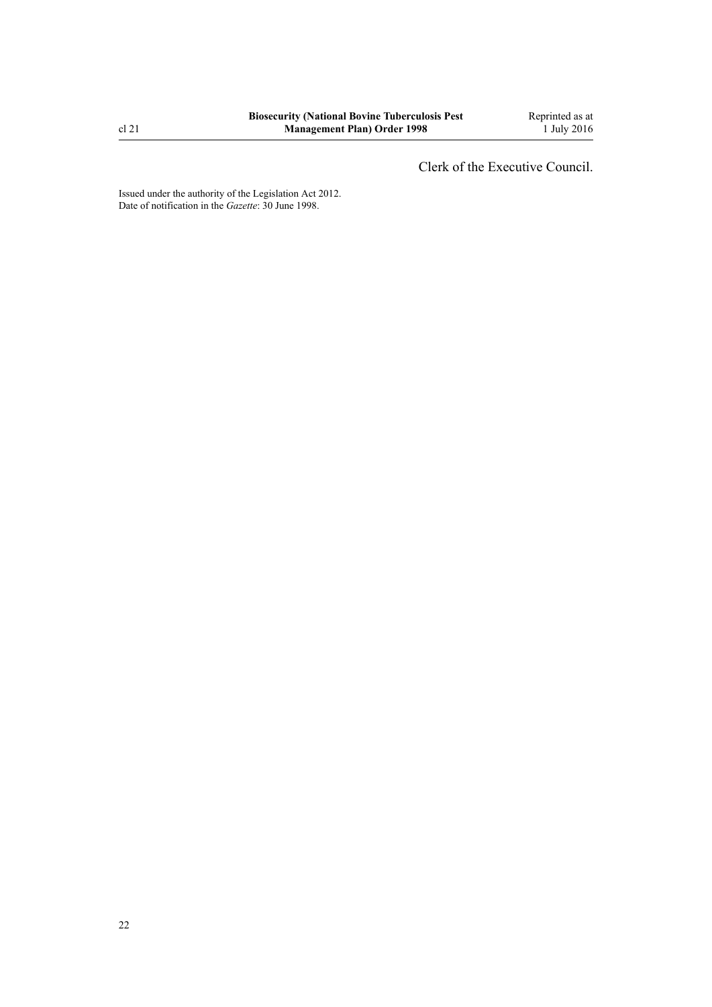Clerk of the Executive Council.

Issued under the authority of the [Legislation Act 2012](http://prd-lgnz-nlb.prd.pco.net.nz/pdflink.aspx?id=DLM2997643). Date of notification in the *Gazette*: 30 June 1998.